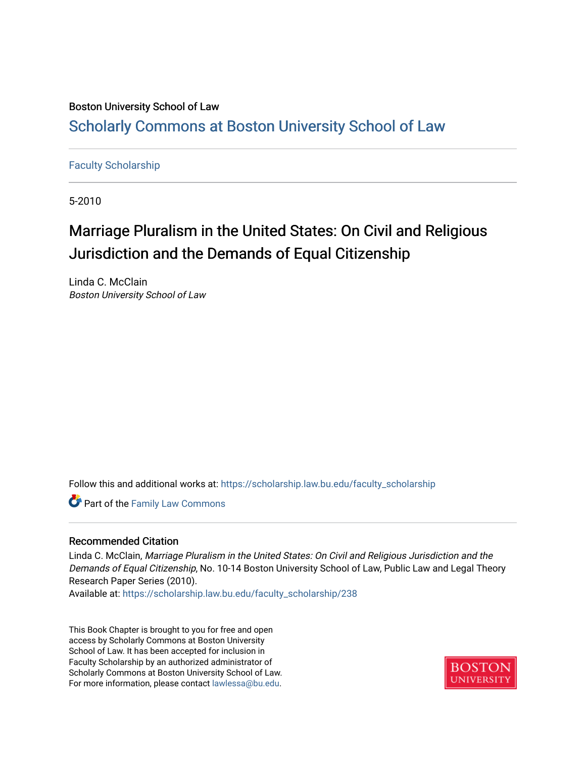# Boston University School of Law [Scholarly Commons at Boston University School of Law](https://scholarship.law.bu.edu/)

# [Faculty Scholarship](https://scholarship.law.bu.edu/faculty_scholarship)

5-2010

# Marriage Pluralism in the United States: On Civil and Religious Jurisdiction and the Demands of Equal Citizenship

Linda C. McClain Boston University School of Law

Follow this and additional works at: [https://scholarship.law.bu.edu/faculty\\_scholarship](https://scholarship.law.bu.edu/faculty_scholarship?utm_source=scholarship.law.bu.edu%2Ffaculty_scholarship%2F238&utm_medium=PDF&utm_campaign=PDFCoverPages)

Part of the [Family Law Commons](http://network.bepress.com/hgg/discipline/602?utm_source=scholarship.law.bu.edu%2Ffaculty_scholarship%2F238&utm_medium=PDF&utm_campaign=PDFCoverPages) 

# Recommended Citation

Linda C. McClain, Marriage Pluralism in the United States: On Civil and Religious Jurisdiction and the Demands of Equal Citizenship, No. 10-14 Boston University School of Law, Public Law and Legal Theory Research Paper Series (2010).

Available at: [https://scholarship.law.bu.edu/faculty\\_scholarship/238](https://scholarship.law.bu.edu/faculty_scholarship/238?utm_source=scholarship.law.bu.edu%2Ffaculty_scholarship%2F238&utm_medium=PDF&utm_campaign=PDFCoverPages) 

This Book Chapter is brought to you for free and open access by Scholarly Commons at Boston University School of Law. It has been accepted for inclusion in Faculty Scholarship by an authorized administrator of Scholarly Commons at Boston University School of Law. For more information, please contact [lawlessa@bu.edu](mailto:lawlessa@bu.edu).

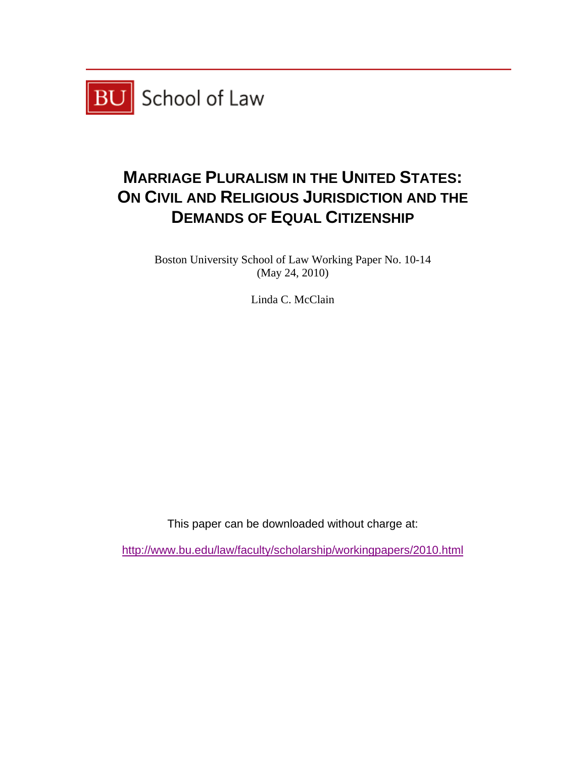

# **MARRIAGE PLURALISM IN THE UNITED STATES: ON CIVIL AND RELIGIOUS JURISDICTION AND THE DEMANDS OF EQUAL CITIZENSHIP**

Boston University School of Law Working Paper No. 10-14 (May 24, 2010)

Linda C. McClain

This paper can be downloaded without charge at:

http://www.bu.edu/law/faculty/scholarship/workingpapers/2010.html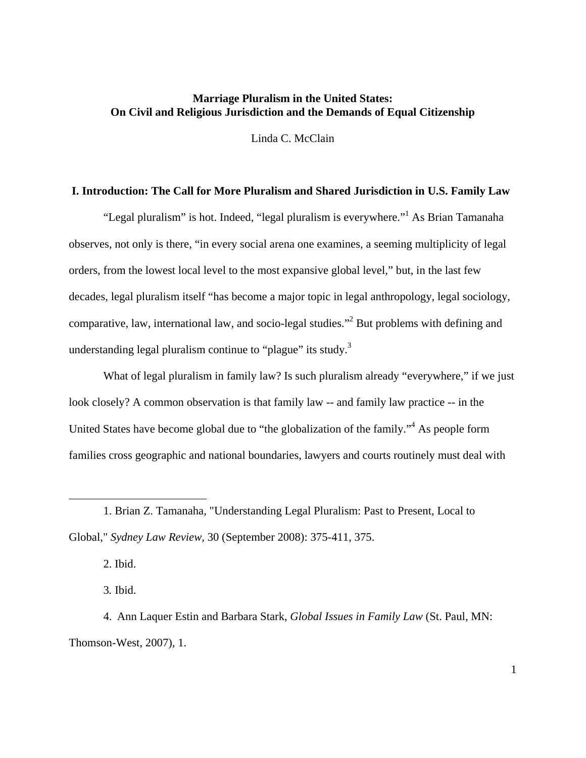# **Marriage Pluralism in the United States: On Civil and Religious Jurisdiction and the Demands of Equal Citizenship**

Linda C. McClain

#### **I. Introduction: The Call for More Pluralism and Shared Jurisdiction in U.S. Family Law**

"Legal pluralism" is hot. Indeed, "legal pluralism is everywhere." As Brian Tamanaha observes, not only is there, "in every social arena one examines, a seeming multiplicity of legal orders, from the lowest local level to the most expansive global level," but, in the last few decades, legal pluralism itself "has become a major topic in legal anthropology, legal sociology, comparative, law, international law, and socio-legal studies."<sup>2</sup> But problems with defining and understanding legal pluralism continue to "plague" its study. $3$ 

What of legal pluralism in family law? Is such pluralism already "everywhere," if we just look closely? A common observation is that family law -- and family law practice -- in the United States have become global due to "the globalization of the family."<sup>4</sup> As people form families cross geographic and national boundaries, lawyers and courts routinely must deal with

2. Ibid.

 $\overline{a}$ 

3*.* Ibid.

4. Ann Laquer Estin and Barbara Stark, *Global Issues in Family Law* (St. Paul, MN: Thomson-West, 2007), 1.

<sup>1.</sup> Brian Z. Tamanaha, "Understanding Legal Pluralism: Past to Present, Local to Global," *Sydney Law Review,* 30 (September 2008): 375-411, 375.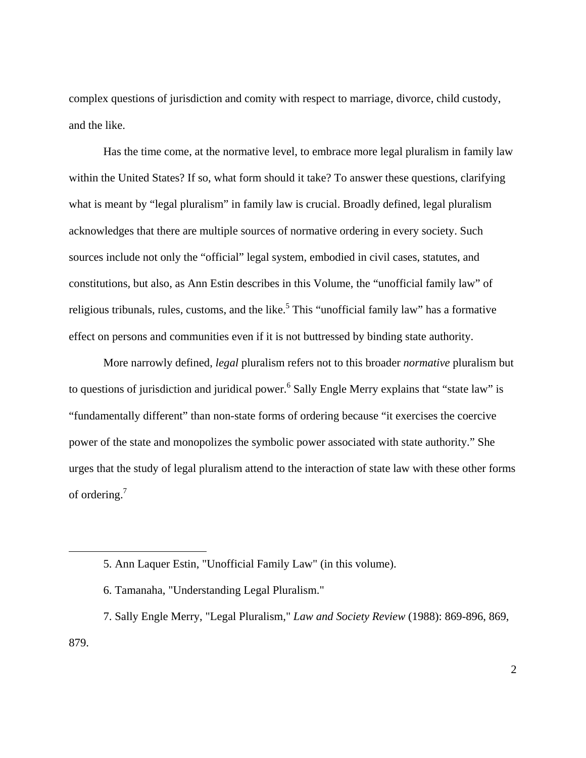complex questions of jurisdiction and comity with respect to marriage, divorce, child custody, and the like.

Has the time come, at the normative level, to embrace more legal pluralism in family law within the United States? If so, what form should it take? To answer these questions, clarifying what is meant by "legal pluralism" in family law is crucial. Broadly defined, legal pluralism acknowledges that there are multiple sources of normative ordering in every society. Such sources include not only the "official" legal system, embodied in civil cases, statutes, and constitutions, but also, as Ann Estin describes in this Volume, the "unofficial family law" of religious tribunals, rules, customs, and the like.<sup>5</sup> This "unofficial family law" has a formative effect on persons and communities even if it is not buttressed by binding state authority.

More narrowly defined, *legal* pluralism refers not to this broader *normative* pluralism but to questions of jurisdiction and juridical power.<sup>6</sup> Sally Engle Merry explains that "state law" is "fundamentally different" than non-state forms of ordering because "it exercises the coercive power of the state and monopolizes the symbolic power associated with state authority." She urges that the study of legal pluralism attend to the interaction of state law with these other forms of ordering.7

<sup>5.</sup> Ann Laquer Estin, "Unofficial Family Law" (in this volume).

<sup>6.</sup> Tamanaha, "Understanding Legal Pluralism."

<sup>7.</sup> Sally Engle Merry, "Legal Pluralism," *Law and Society Review* (1988): 869-896, 869, 879.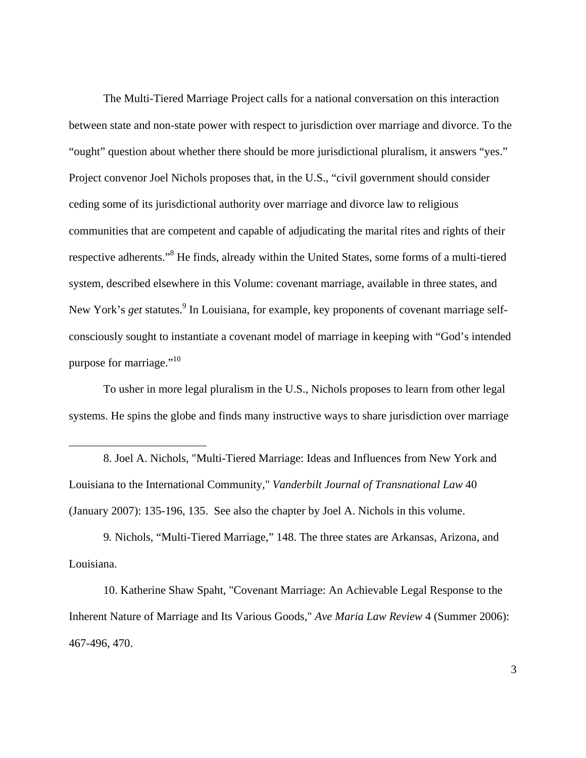The Multi-Tiered Marriage Project calls for a national conversation on this interaction between state and non-state power with respect to jurisdiction over marriage and divorce. To the "ought" question about whether there should be more jurisdictional pluralism, it answers "yes." Project convenor Joel Nichols proposes that, in the U.S., "civil government should consider ceding some of its jurisdictional authority over marriage and divorce law to religious communities that are competent and capable of adjudicating the marital rites and rights of their respective adherents."<sup>8</sup> He finds, already within the United States, some forms of a multi-tiered system, described elsewhere in this Volume: covenant marriage, available in three states, and New York's *get* statutes.<sup>9</sup> In Louisiana, for example, key proponents of covenant marriage selfconsciously sought to instantiate a covenant model of marriage in keeping with "God's intended purpose for marriage."<sup>10</sup>

To usher in more legal pluralism in the U.S., Nichols proposes to learn from other legal systems. He spins the globe and finds many instructive ways to share jurisdiction over marriage

1

9*.* Nichols, "Multi-Tiered Marriage," 148. The three states are Arkansas, Arizona, and Louisiana.

10. Katherine Shaw Spaht, "Covenant Marriage: An Achievable Legal Response to the Inherent Nature of Marriage and Its Various Goods," *Ave Maria Law Review* 4 (Summer 2006): 467-496, 470.

<sup>8.</sup> Joel A. Nichols, "Multi-Tiered Marriage: Ideas and Influences from New York and Louisiana to the International Community," *Vanderbilt Journal of Transnational Law* 40 (January 2007): 135-196, 135. See also the chapter by Joel A. Nichols in this volume.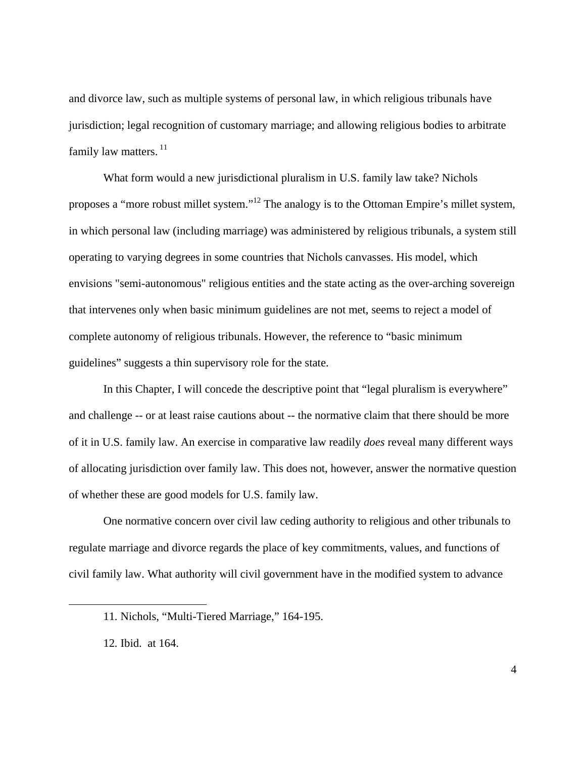and divorce law, such as multiple systems of personal law, in which religious tribunals have jurisdiction; legal recognition of customary marriage; and allowing religious bodies to arbitrate family law matters.<sup>11</sup>

What form would a new jurisdictional pluralism in U.S. family law take? Nichols proposes a "more robust millet system."12 The analogy is to the Ottoman Empire's millet system, in which personal law (including marriage) was administered by religious tribunals, a system still operating to varying degrees in some countries that Nichols canvasses. His model, which envisions "semi-autonomous" religious entities and the state acting as the over-arching sovereign that intervenes only when basic minimum guidelines are not met, seems to reject a model of complete autonomy of religious tribunals. However, the reference to "basic minimum guidelines" suggests a thin supervisory role for the state.

In this Chapter, I will concede the descriptive point that "legal pluralism is everywhere" and challenge -- or at least raise cautions about -- the normative claim that there should be more of it in U.S. family law. An exercise in comparative law readily *does* reveal many different ways of allocating jurisdiction over family law. This does not, however, answer the normative question of whether these are good models for U.S. family law.

One normative concern over civil law ceding authority to religious and other tribunals to regulate marriage and divorce regards the place of key commitments, values, and functions of civil family law. What authority will civil government have in the modified system to advance

<sup>11</sup>*.* Nichols, "Multi-Tiered Marriage," 164-195.

<sup>12</sup>*.* Ibid. at 164.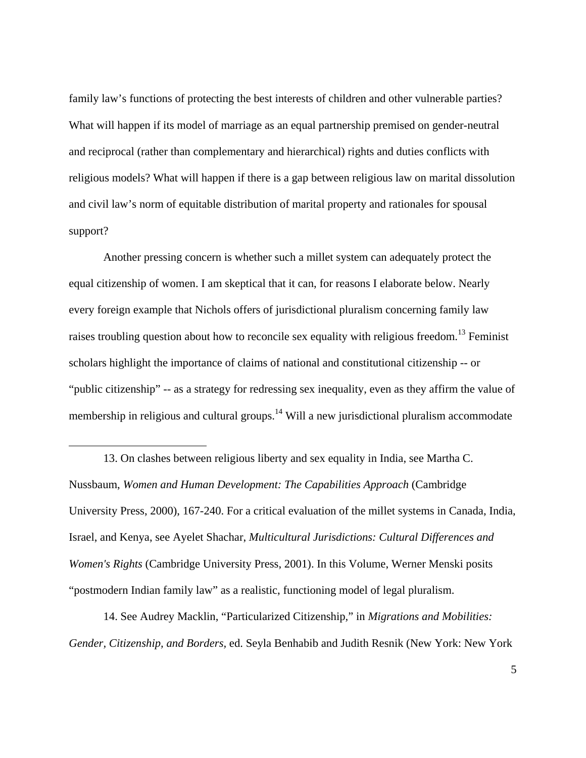family law's functions of protecting the best interests of children and other vulnerable parties? What will happen if its model of marriage as an equal partnership premised on gender-neutral and reciprocal (rather than complementary and hierarchical) rights and duties conflicts with religious models? What will happen if there is a gap between religious law on marital dissolution and civil law's norm of equitable distribution of marital property and rationales for spousal support?

Another pressing concern is whether such a millet system can adequately protect the equal citizenship of women. I am skeptical that it can, for reasons I elaborate below. Nearly every foreign example that Nichols offers of jurisdictional pluralism concerning family law raises troubling question about how to reconcile sex equality with religious freedom.<sup>13</sup> Feminist scholars highlight the importance of claims of national and constitutional citizenship -- or "public citizenship" -- as a strategy for redressing sex inequality, even as they affirm the value of membership in religious and cultural groups.<sup>14</sup> Will a new jurisdictional pluralism accommodate

13. On clashes between religious liberty and sex equality in India, see Martha C. Nussbaum, *Women and Human Development: The Capabilities Approach* (Cambridge University Press, 2000), 167-240. For a critical evaluation of the millet systems in Canada, India, Israel, and Kenya, see Ayelet Shachar, *Multicultural Jurisdictions: Cultural Differences and Women's Rights* (Cambridge University Press, 2001). In this Volume, Werner Menski posits "postmodern Indian family law" as a realistic, functioning model of legal pluralism.

1

14. See Audrey Macklin, "Particularized Citizenship*,*" in *Migrations and Mobilities: Gender, Citizenship, and Borders,* ed. Seyla Benhabib and Judith Resnik (New York: New York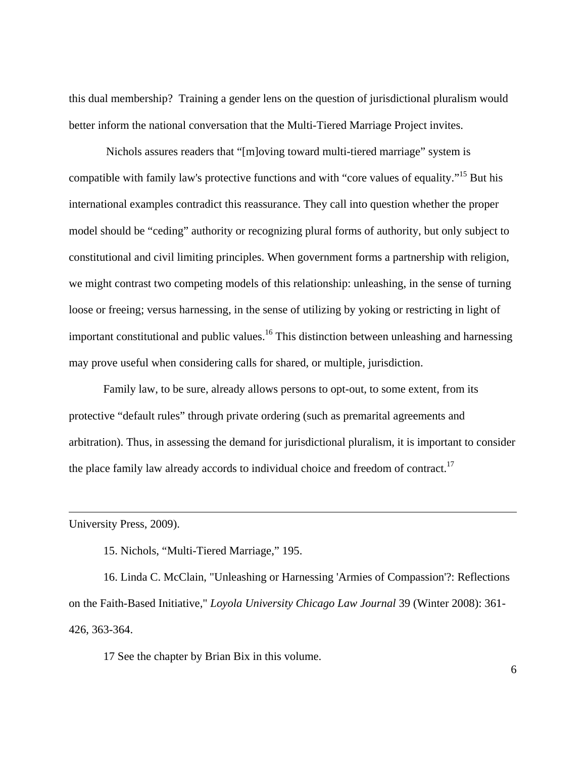this dual membership? Training a gender lens on the question of jurisdictional pluralism would better inform the national conversation that the Multi-Tiered Marriage Project invites.

 Nichols assures readers that "[m]oving toward multi-tiered marriage" system is compatible with family law's protective functions and with "core values of equality."15 But his international examples contradict this reassurance. They call into question whether the proper model should be "ceding" authority or recognizing plural forms of authority, but only subject to constitutional and civil limiting principles. When government forms a partnership with religion, we might contrast two competing models of this relationship: unleashing, in the sense of turning loose or freeing; versus harnessing, in the sense of utilizing by yoking or restricting in light of important constitutional and public values.<sup>16</sup> This distinction between unleashing and harnessing may prove useful when considering calls for shared, or multiple, jurisdiction.

Family law, to be sure, already allows persons to opt-out, to some extent, from its protective "default rules" through private ordering (such as premarital agreements and arbitration). Thus, in assessing the demand for jurisdictional pluralism, it is important to consider the place family law already accords to individual choice and freedom of contract.<sup>17</sup>

University Press, 2009).

 $\overline{a}$ 

15. Nichols, "Multi-Tiered Marriage," 195.

16. Linda C. McClain, "Unleashing or Harnessing 'Armies of Compassion'?: Reflections on the Faith-Based Initiative*,*" *Loyola University Chicago Law Journal* 39 (Winter 2008): 361- 426, 363-364.

17 See the chapter by Brian Bix in this volume.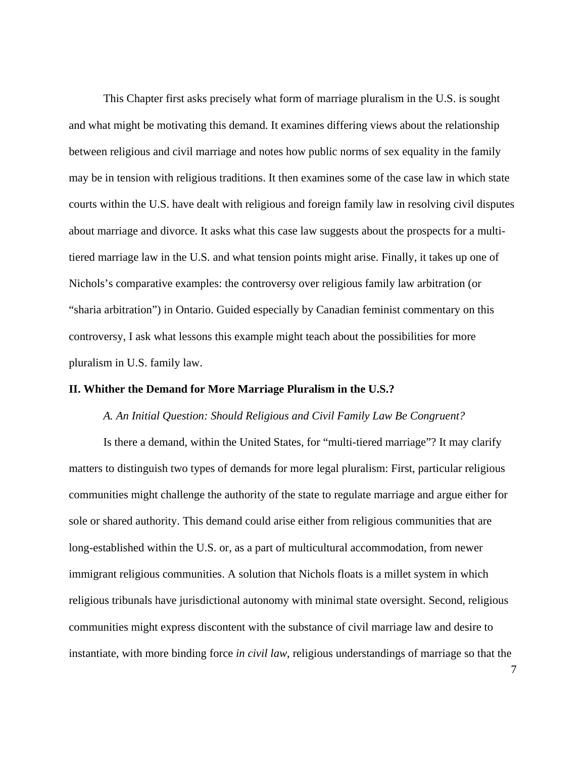This Chapter first asks precisely what form of marriage pluralism in the U.S. is sought and what might be motivating this demand. It examines differing views about the relationship between religious and civil marriage and notes how public norms of sex equality in the family may be in tension with religious traditions. It then examines some of the case law in which state courts within the U.S. have dealt with religious and foreign family law in resolving civil disputes about marriage and divorce. It asks what this case law suggests about the prospects for a multitiered marriage law in the U.S. and what tension points might arise. Finally, it takes up one of Nichols's comparative examples: the controversy over religious family law arbitration (or "sharia arbitration") in Ontario. Guided especially by Canadian feminist commentary on this controversy, I ask what lessons this example might teach about the possibilities for more pluralism in U.S. family law.

# **II. Whither the Demand for More Marriage Pluralism in the U.S.?**

#### *A. An Initial Question: Should Religious and Civil Family Law Be Congruent?*

Is there a demand, within the United States, for "multi-tiered marriage"? It may clarify matters to distinguish two types of demands for more legal pluralism: First, particular religious communities might challenge the authority of the state to regulate marriage and argue either for sole or shared authority. This demand could arise either from religious communities that are long-established within the U.S. or, as a part of multicultural accommodation, from newer immigrant religious communities. A solution that Nichols floats is a millet system in which religious tribunals have jurisdictional autonomy with minimal state oversight. Second, religious communities might express discontent with the substance of civil marriage law and desire to instantiate, with more binding force *in civil law*, religious understandings of marriage so that the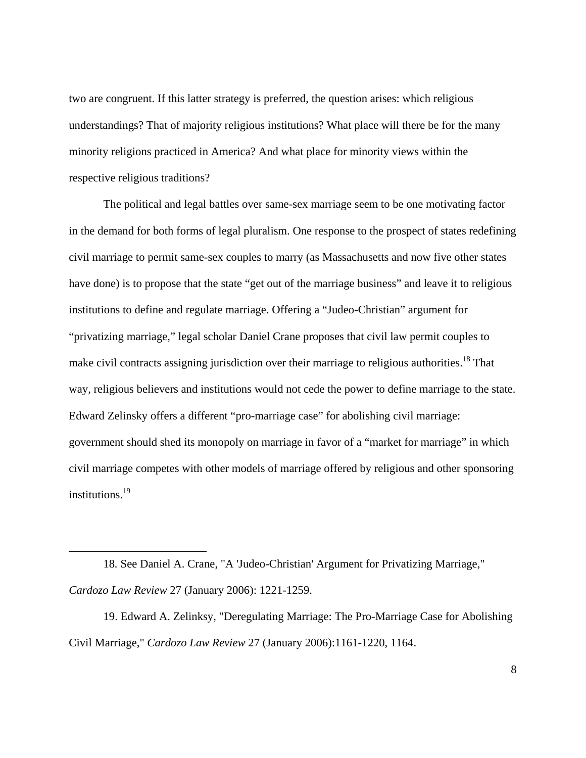two are congruent. If this latter strategy is preferred, the question arises: which religious understandings? That of majority religious institutions? What place will there be for the many minority religions practiced in America? And what place for minority views within the respective religious traditions?

The political and legal battles over same-sex marriage seem to be one motivating factor in the demand for both forms of legal pluralism. One response to the prospect of states redefining civil marriage to permit same-sex couples to marry (as Massachusetts and now five other states have done) is to propose that the state "get out of the marriage business" and leave it to religious institutions to define and regulate marriage. Offering a "Judeo-Christian" argument for "privatizing marriage," legal scholar Daniel Crane proposes that civil law permit couples to make civil contracts assigning jurisdiction over their marriage to religious authorities.<sup>18</sup> That way, religious believers and institutions would not cede the power to define marriage to the state. Edward Zelinsky offers a different "pro-marriage case" for abolishing civil marriage: government should shed its monopoly on marriage in favor of a "market for marriage" in which civil marriage competes with other models of marriage offered by religious and other sponsoring institutions.<sup>19</sup>

 $\overline{a}$ 

19. Edward A. Zelinksy, "Deregulating Marriage: The Pro-Marriage Case for Abolishing Civil Marriage," *Cardozo Law Review* 27 (January 2006):1161-1220, 1164.

<sup>18</sup>*.* See Daniel A. Crane, "A 'Judeo-Christian' Argument for Privatizing Marriage," *Cardozo Law Review* 27 (January 2006): 1221-1259.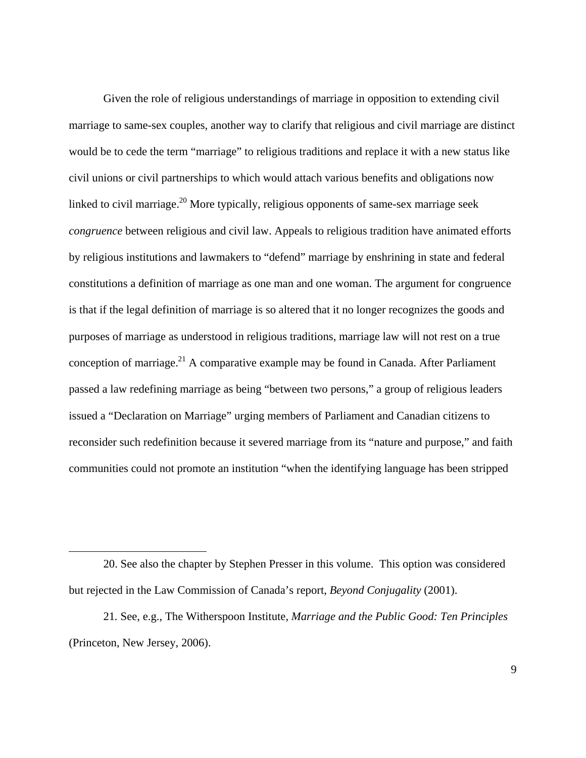Given the role of religious understandings of marriage in opposition to extending civil marriage to same-sex couples, another way to clarify that religious and civil marriage are distinct would be to cede the term "marriage" to religious traditions and replace it with a new status like civil unions or civil partnerships to which would attach various benefits and obligations now linked to civil marriage.<sup>20</sup> More typically, religious opponents of same-sex marriage seek *congruence* between religious and civil law. Appeals to religious tradition have animated efforts by religious institutions and lawmakers to "defend" marriage by enshrining in state and federal constitutions a definition of marriage as one man and one woman. The argument for congruence is that if the legal definition of marriage is so altered that it no longer recognizes the goods and purposes of marriage as understood in religious traditions, marriage law will not rest on a true conception of marriage.<sup>21</sup> A comparative example may be found in Canada. After Parliament passed a law redefining marriage as being "between two persons," a group of religious leaders issued a "Declaration on Marriage" urging members of Parliament and Canadian citizens to reconsider such redefinition because it severed marriage from its "nature and purpose," and faith communities could not promote an institution "when the identifying language has been stripped

<sup>20.</sup> See also the chapter by Stephen Presser in this volume. This option was considered but rejected in the Law Commission of Canada's report, *Beyond Conjugality* (2001).

<sup>21</sup>*.* See, e.g., The Witherspoon Institute, *Marriage and the Public Good: Ten Principles* (Princeton, New Jersey, 2006).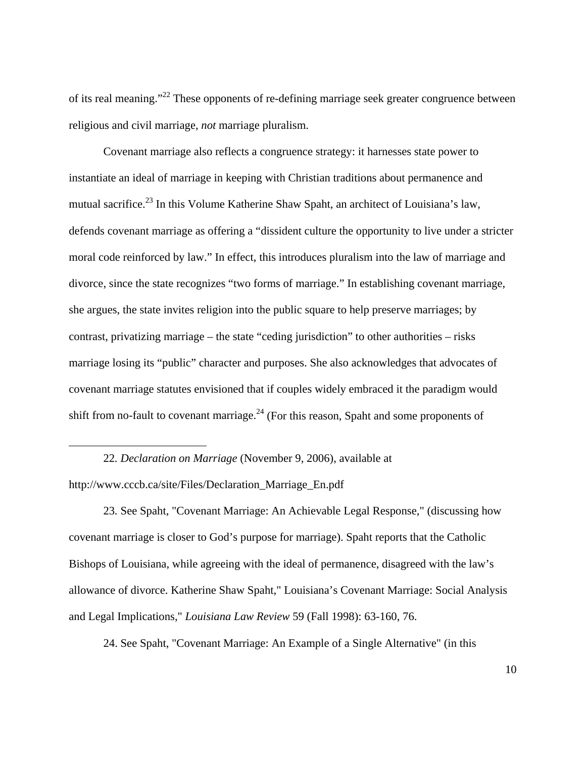of its real meaning."<sup>22</sup> These opponents of re-defining marriage seek greater congruence between religious and civil marriage, *not* marriage pluralism.

Covenant marriage also reflects a congruence strategy: it harnesses state power to instantiate an ideal of marriage in keeping with Christian traditions about permanence and mutual sacrifice.<sup>23</sup> In this Volume Katherine Shaw Spaht, an architect of Louisiana's law, defends covenant marriage as offering a "dissident culture the opportunity to live under a stricter moral code reinforced by law." In effect, this introduces pluralism into the law of marriage and divorce, since the state recognizes "two forms of marriage." In establishing covenant marriage, she argues, the state invites religion into the public square to help preserve marriages; by contrast, privatizing marriage – the state "ceding jurisdiction" to other authorities – risks marriage losing its "public" character and purposes. She also acknowledges that advocates of covenant marriage statutes envisioned that if couples widely embraced it the paradigm would shift from no-fault to covenant marriage.<sup>24</sup> (For this reason, Spaht and some proponents of

22*. Declaration on Marriage* (November 9, 2006), available at

http://www.cccb.ca/site/Files/Declaration\_Marriage\_En.pdf

 $\overline{a}$ 

23*.* See Spaht, "Covenant Marriage: An Achievable Legal Response," (discussing how covenant marriage is closer to God's purpose for marriage). Spaht reports that the Catholic Bishops of Louisiana, while agreeing with the ideal of permanence, disagreed with the law's allowance of divorce. Katherine Shaw Spaht," Louisiana's Covenant Marriage: Social Analysis and Legal Implications," *Louisiana Law Review* 59 (Fall 1998): 63-160, 76.

24. See Spaht, "Covenant Marriage: An Example of a Single Alternative" (in this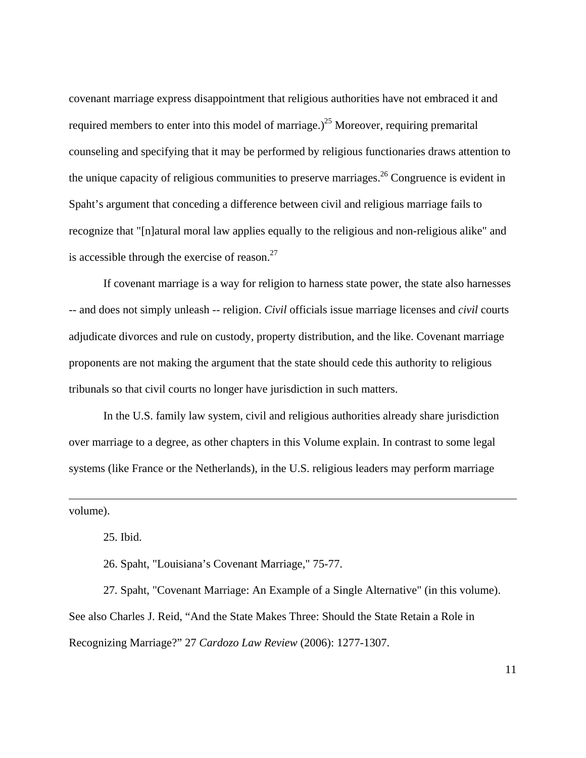covenant marriage express disappointment that religious authorities have not embraced it and required members to enter into this model of marriage.)<sup>25</sup> Moreover, requiring premarital counseling and specifying that it may be performed by religious functionaries draws attention to the unique capacity of religious communities to preserve marriages.<sup>26</sup> Congruence is evident in Spaht's argument that conceding a difference between civil and religious marriage fails to recognize that "[n]atural moral law applies equally to the religious and non-religious alike" and is accessible through the exercise of reason. $27$ 

If covenant marriage is a way for religion to harness state power, the state also harnesses -- and does not simply unleash -- religion. *Civil* officials issue marriage licenses and *civil* courts adjudicate divorces and rule on custody, property distribution, and the like. Covenant marriage proponents are not making the argument that the state should cede this authority to religious tribunals so that civil courts no longer have jurisdiction in such matters.

In the U.S. family law system, civil and religious authorities already share jurisdiction over marriage to a degree, as other chapters in this Volume explain. In contrast to some legal systems (like France or the Netherlands), in the U.S. religious leaders may perform marriage

volume).

1

25. Ibid.

26. Spaht, "Louisiana's Covenant Marriage," 75-77.

27*.* Spaht, "Covenant Marriage: An Example of a Single Alternative" (in this volume). See also Charles J. Reid, "And the State Makes Three: Should the State Retain a Role in Recognizing Marriage?" 27 *Cardozo Law Review* (2006): 1277-1307.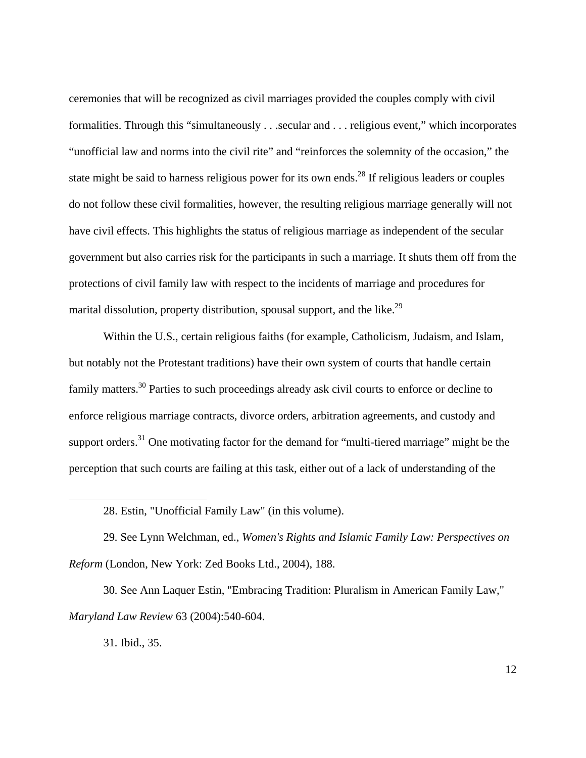ceremonies that will be recognized as civil marriages provided the couples comply with civil formalities. Through this "simultaneously . . .secular and . . . religious event," which incorporates "unofficial law and norms into the civil rite" and "reinforces the solemnity of the occasion," the state might be said to harness religious power for its own ends.<sup>28</sup> If religious leaders or couples do not follow these civil formalities, however, the resulting religious marriage generally will not have civil effects. This highlights the status of religious marriage as independent of the secular government but also carries risk for the participants in such a marriage. It shuts them off from the protections of civil family law with respect to the incidents of marriage and procedures for marital dissolution, property distribution, spousal support, and the like.<sup>29</sup>

Within the U.S., certain religious faiths (for example, Catholicism, Judaism, and Islam, but notably not the Protestant traditions) have their own system of courts that handle certain family matters.30 Parties to such proceedings already ask civil courts to enforce or decline to enforce religious marriage contracts, divorce orders, arbitration agreements, and custody and support orders.<sup>31</sup> One motivating factor for the demand for "multi-tiered marriage" might be the perception that such courts are failing at this task, either out of a lack of understanding of the

29*.* See Lynn Welchman, ed., *Women's Rights and Islamic Family Law: Perspectives on Reform* (London, New York: Zed Books Ltd., 2004), 188.

30*.* See Ann Laquer Estin, "Embracing Tradition: Pluralism in American Family Law*,*" *Maryland Law Review* 63 (2004):540-604.

31*.* Ibid., 35.

<sup>28.</sup> Estin, "Unofficial Family Law" (in this volume).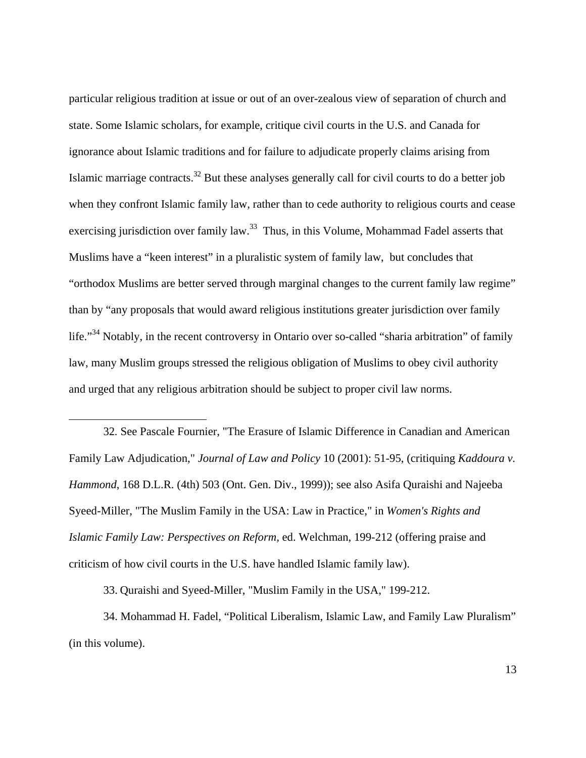particular religious tradition at issue or out of an over-zealous view of separation of church and state. Some Islamic scholars, for example, critique civil courts in the U.S. and Canada for ignorance about Islamic traditions and for failure to adjudicate properly claims arising from Islamic marriage contracts.32 But these analyses generally call for civil courts to do a better job when they confront Islamic family law, rather than to cede authority to religious courts and cease exercising jurisdiction over family law.<sup>33</sup> Thus, in this Volume, Mohammad Fadel asserts that Muslims have a "keen interest" in a pluralistic system of family law, but concludes that "orthodox Muslims are better served through marginal changes to the current family law regime" than by "any proposals that would award religious institutions greater jurisdiction over family life."<sup>34</sup> Notably, in the recent controversy in Ontario over so-called "sharia arbitration" of family law, many Muslim groups stressed the religious obligation of Muslims to obey civil authority and urged that any religious arbitration should be subject to proper civil law norms.

32*.* See Pascale Fournier, "The Erasure of Islamic Difference in Canadian and American Family Law Adjudication," *Journal of Law and Policy* 10 (2001): 51-95, (critiquing *Kaddoura v. Hammond*, 168 D.L.R. (4th) 503 (Ont. Gen. Div., 1999)); see also Asifa Quraishi and Najeeba Syeed-Miller, "The Muslim Family in the USA: Law in Practice," in *Women's Rights and Islamic Family Law: Perspectives on Reform,* ed. Welchman, 199-212 (offering praise and criticism of how civil courts in the U.S. have handled Islamic family law).

33. Quraishi and Syeed-Miller, "Muslim Family in the USA," 199-212.

 $\overline{a}$ 

34. Mohammad H. Fadel, "Political Liberalism, Islamic Law, and Family Law Pluralism" (in this volume).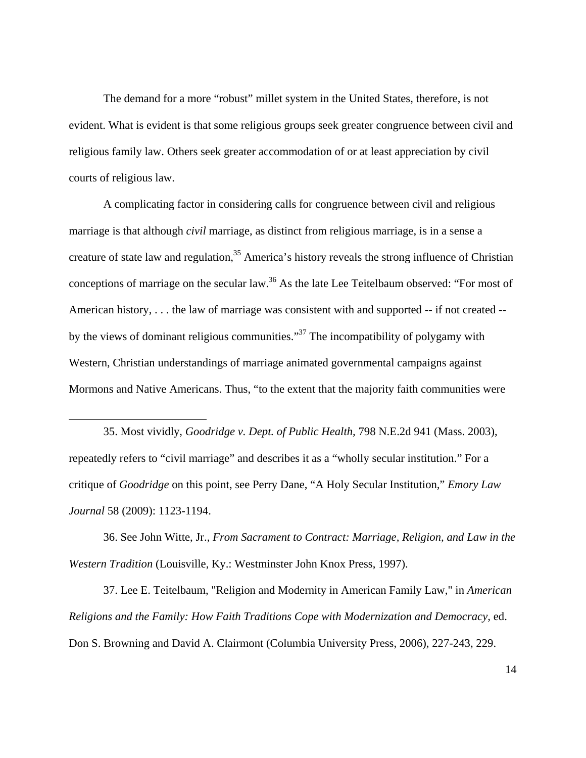The demand for a more "robust" millet system in the United States, therefore, is not evident. What is evident is that some religious groups seek greater congruence between civil and religious family law. Others seek greater accommodation of or at least appreciation by civil courts of religious law.

A complicating factor in considering calls for congruence between civil and religious marriage is that although *civil* marriage, as distinct from religious marriage, is in a sense a creature of state law and regulation,  $35$  America's history reveals the strong influence of Christian conceptions of marriage on the secular law.<sup>36</sup> As the late Lee Teitelbaum observed: "For most of American history, . . . the law of marriage was consistent with and supported -- if not created - by the views of dominant religious communities."<sup>37</sup> The incompatibility of polygamy with Western, Christian understandings of marriage animated governmental campaigns against Mormons and Native Americans. Thus, "to the extent that the majority faith communities were

35. Most vividly, *Goodridge v. Dept. of Public Health,* 798 N.E.2d 941 (Mass. 2003), repeatedly refers to "civil marriage" and describes it as a "wholly secular institution." For a critique of *Goodridge* on this point, see Perry Dane, "A Holy Secular Institution*,*" *Emory Law Journal* 58 (2009): 1123-1194.

 $\overline{a}$ 

36. See John Witte, Jr., *From Sacrament to Contract: Marriage, Religion, and Law in the Western Tradition* (Louisville, Ky.: Westminster John Knox Press, 1997).

37. Lee E. Teitelbaum, "Religion and Modernity in American Family Law," in *American Religions and the Family: How Faith Traditions Cope with Modernization and Democracy,* ed. Don S. Browning and David A. Clairmont (Columbia University Press, 2006), 227-243, 229.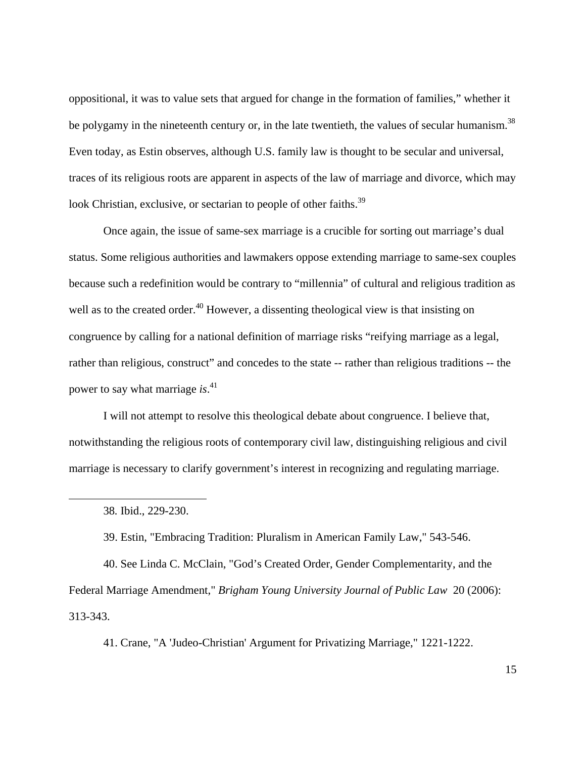oppositional, it was to value sets that argued for change in the formation of families," whether it be polygamy in the nineteenth century or, in the late twentieth, the values of secular humanism.<sup>38</sup> Even today, as Estin observes, although U.S. family law is thought to be secular and universal, traces of its religious roots are apparent in aspects of the law of marriage and divorce, which may look Christian, exclusive, or sectarian to people of other faiths.<sup>39</sup>

Once again, the issue of same-sex marriage is a crucible for sorting out marriage's dual status. Some religious authorities and lawmakers oppose extending marriage to same-sex couples because such a redefinition would be contrary to "millennia" of cultural and religious tradition as well as to the created order.<sup>40</sup> However, a dissenting theological view is that insisting on congruence by calling for a national definition of marriage risks "reifying marriage as a legal, rather than religious, construct" and concedes to the state -- rather than religious traditions -- the power to say what marriage *is*. 41

I will not attempt to resolve this theological debate about congruence. I believe that, notwithstanding the religious roots of contemporary civil law, distinguishing religious and civil marriage is necessary to clarify government's interest in recognizing and regulating marriage.

 $\overline{a}$ 

39. Estin, "Embracing Tradition: Pluralism in American Family Law," 543-546.

40. See Linda C. McClain, "God's Created Order, Gender Complementarity, and the Federal Marriage Amendment," *Brigham Young University Journal of Public Law* 20 (2006): 313-343.

41. Crane, "A 'Judeo-Christian' Argument for Privatizing Marriage," 1221-1222.

<sup>38</sup>*.* Ibid., 229-230.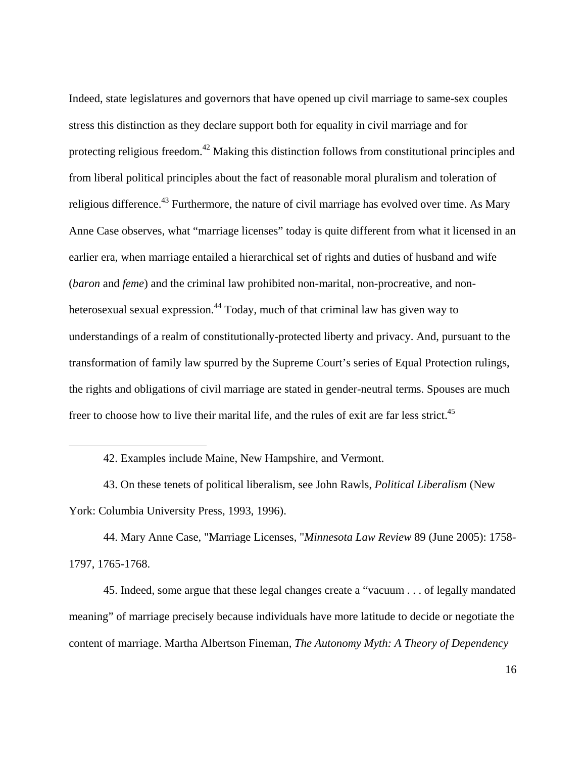Indeed, state legislatures and governors that have opened up civil marriage to same-sex couples stress this distinction as they declare support both for equality in civil marriage and for protecting religious freedom.<sup>42</sup> Making this distinction follows from constitutional principles and from liberal political principles about the fact of reasonable moral pluralism and toleration of religious difference.<sup>43</sup> Furthermore, the nature of civil marriage has evolved over time. As Mary Anne Case observes, what "marriage licenses" today is quite different from what it licensed in an earlier era, when marriage entailed a hierarchical set of rights and duties of husband and wife (*baron* and *feme*) and the criminal law prohibited non-marital, non-procreative, and nonheterosexual sexual expression.<sup>44</sup> Today, much of that criminal law has given way to understandings of a realm of constitutionally-protected liberty and privacy. And, pursuant to the transformation of family law spurred by the Supreme Court's series of Equal Protection rulings, the rights and obligations of civil marriage are stated in gender-neutral terms. Spouses are much freer to choose how to live their marital life, and the rules of exit are far less strict.<sup>45</sup>

 $\overline{a}$ 

44. Mary Anne Case, "Marriage Licenses, "*Minnesota Law Review* 89 (June 2005): 1758- 1797, 1765-1768.

45. Indeed, some argue that these legal changes create a "vacuum . . . of legally mandated meaning" of marriage precisely because individuals have more latitude to decide or negotiate the content of marriage. Martha Albertson Fineman, *The Autonomy Myth: A Theory of Dependency* 

<sup>42.</sup> Examples include Maine, New Hampshire, and Vermont.

<sup>43.</sup> On these tenets of political liberalism, see John Rawls, *Political Liberalism* (New York: Columbia University Press, 1993, 1996).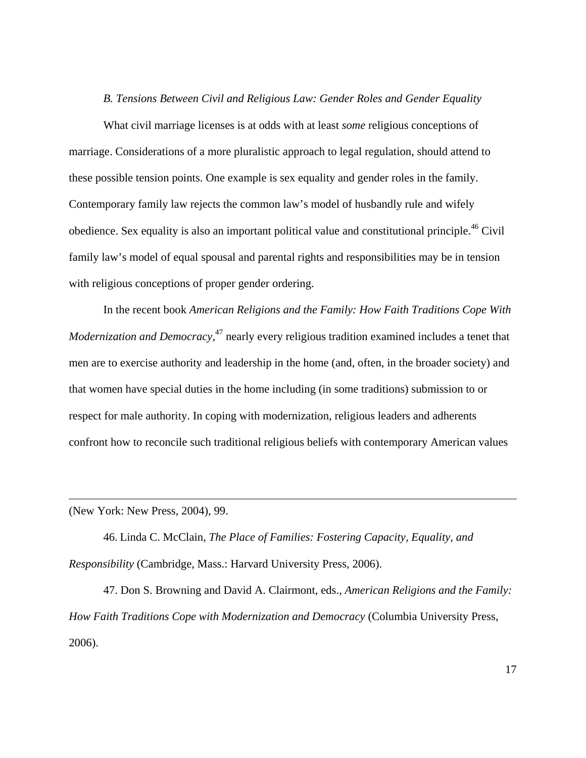#### *B. Tensions Between Civil and Religious Law: Gender Roles and Gender Equality*

What civil marriage licenses is at odds with at least *some* religious conceptions of marriage. Considerations of a more pluralistic approach to legal regulation, should attend to these possible tension points. One example is sex equality and gender roles in the family. Contemporary family law rejects the common law's model of husbandly rule and wifely obedience. Sex equality is also an important political value and constitutional principle.<sup>46</sup> Civil family law's model of equal spousal and parental rights and responsibilities may be in tension with religious conceptions of proper gender ordering.

In the recent book *American Religions and the Family: How Faith Traditions Cope With Modernization and Democracy*,<sup>47</sup> nearly every religious tradition examined includes a tenet that men are to exercise authority and leadership in the home (and, often, in the broader society) and that women have special duties in the home including (in some traditions) submission to or respect for male authority. In coping with modernization, religious leaders and adherents confront how to reconcile such traditional religious beliefs with contemporary American values

(New York: New Press, 2004), 99.

 $\overline{a}$ 

46. Linda C. McClain, *The Place of Families: Fostering Capacity, Equality, and Responsibility* (Cambridge, Mass.: Harvard University Press, 2006).

47. Don S. Browning and David A. Clairmont, eds., *American Religions and the Family: How Faith Traditions Cope with Modernization and Democracy* (Columbia University Press, 2006).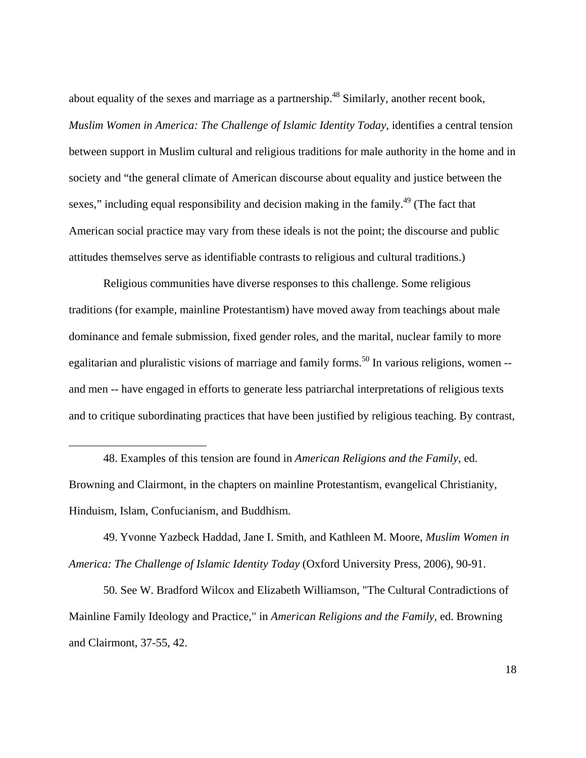about equality of the sexes and marriage as a partnership.<sup>48</sup> Similarly, another recent book, *Muslim Women in America: The Challenge of Islamic Identity Today*, identifies a central tension between support in Muslim cultural and religious traditions for male authority in the home and in society and "the general climate of American discourse about equality and justice between the sexes," including equal responsibility and decision making in the family.<sup>49</sup> (The fact that American social practice may vary from these ideals is not the point; the discourse and public attitudes themselves serve as identifiable contrasts to religious and cultural traditions.)

Religious communities have diverse responses to this challenge. Some religious traditions (for example, mainline Protestantism) have moved away from teachings about male dominance and female submission, fixed gender roles, and the marital, nuclear family to more egalitarian and pluralistic visions of marriage and family forms.<sup>50</sup> In various religions, women  $$ and men -- have engaged in efforts to generate less patriarchal interpretations of religious texts and to critique subordinating practices that have been justified by religious teaching. By contrast,

48. Examples of this tension are found in *American Religions and the Family*, ed. Browning and Clairmont, in the chapters on mainline Protestantism, evangelical Christianity, Hinduism, Islam, Confucianism, and Buddhism.

 $\overline{a}$ 

49. Yvonne Yazbeck Haddad, Jane I. Smith, and Kathleen M. Moore, *Muslim Women in America: The Challenge of Islamic Identity Today* (Oxford University Press, 2006), 90-91.

50*.* See W. Bradford Wilcox and Elizabeth Williamson, "The Cultural Contradictions of Mainline Family Ideology and Practice," in *American Religions and the Family,* ed. Browning and Clairmont, 37-55, 42.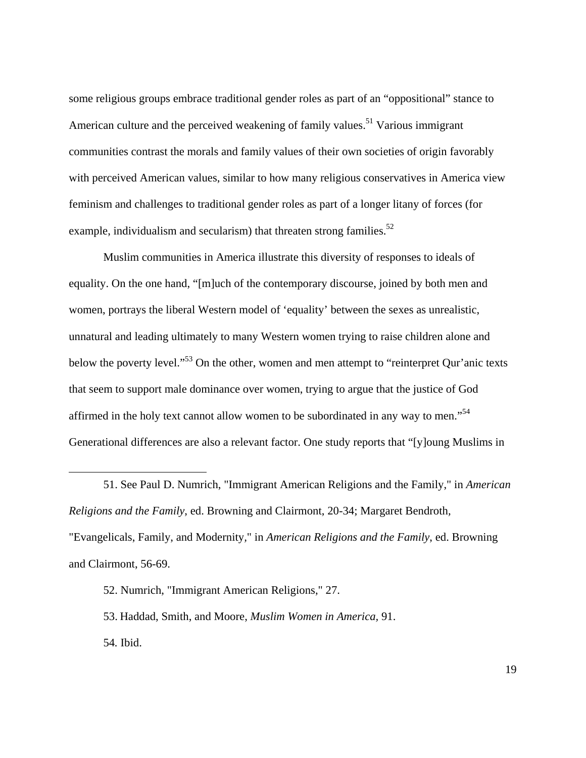some religious groups embrace traditional gender roles as part of an "oppositional" stance to American culture and the perceived weakening of family values.<sup>51</sup> Various immigrant communities contrast the morals and family values of their own societies of origin favorably with perceived American values, similar to how many religious conservatives in America view feminism and challenges to traditional gender roles as part of a longer litany of forces (for example, individualism and secularism) that threaten strong families. $52$ 

Muslim communities in America illustrate this diversity of responses to ideals of equality. On the one hand, "[m]uch of the contemporary discourse, joined by both men and women, portrays the liberal Western model of 'equality' between the sexes as unrealistic, unnatural and leading ultimately to many Western women trying to raise children alone and below the poverty level."<sup>53</sup> On the other, women and men attempt to "reinterpret Qur'anic texts that seem to support male dominance over women, trying to argue that the justice of God affirmed in the holy text cannot allow women to be subordinated in any way to men."<sup>54</sup> Generational differences are also a relevant factor. One study reports that "[y]oung Muslims in

<u>.</u>

53. Haddad, Smith, and Moore, *Muslim Women in America,* 91. 54*.* Ibid.

<sup>51.</sup> See Paul D. Numrich, "Immigrant American Religions and the Family," in *American Religions and the Family*, ed. Browning and Clairmont, 20-34; Margaret Bendroth*,*  "Evangelicals, Family, and Modernity*,*" in *American Religions and the Family*, ed. Browning and Clairmont, 56-69.

<sup>52.</sup> Numrich, "Immigrant American Religions," 27.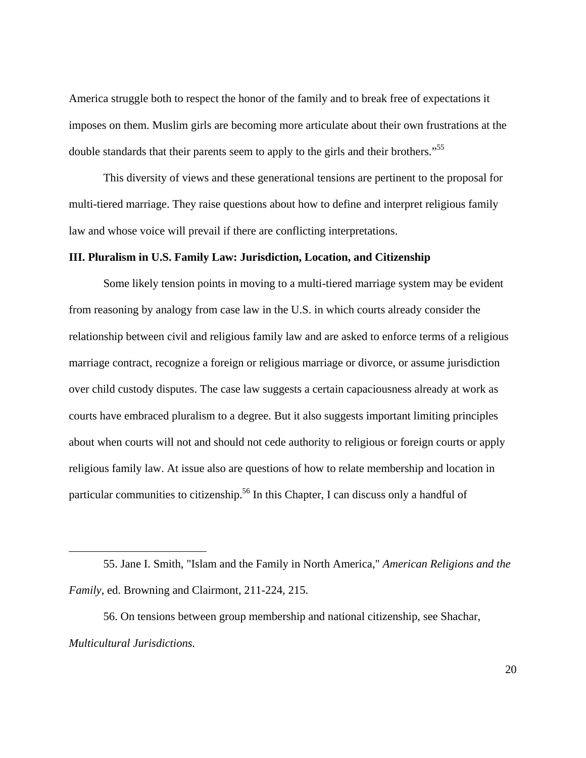America struggle both to respect the honor of the family and to break free of expectations it imposes on them. Muslim girls are becoming more articulate about their own frustrations at the double standards that their parents seem to apply to the girls and their brothers."<sup>55</sup>

This diversity of views and these generational tensions are pertinent to the proposal for multi-tiered marriage. They raise questions about how to define and interpret religious family law and whose voice will prevail if there are conflicting interpretations.

#### **III. Pluralism in U.S. Family Law: Jurisdiction, Location, and Citizenship**

Some likely tension points in moving to a multi-tiered marriage system may be evident from reasoning by analogy from case law in the U.S. in which courts already consider the relationship between civil and religious family law and are asked to enforce terms of a religious marriage contract, recognize a foreign or religious marriage or divorce, or assume jurisdiction over child custody disputes. The case law suggests a certain capaciousness already at work as courts have embraced pluralism to a degree. But it also suggests important limiting principles about when courts will not and should not cede authority to religious or foreign courts or apply religious family law. At issue also are questions of how to relate membership and location in particular communities to citizenship.<sup>56</sup> In this Chapter, I can discuss only a handful of

56. On tensions between group membership and national citizenship, see Shachar, *Multicultural Jurisdictions.*

<sup>55.</sup> Jane I. Smith, "Islam and the Family in North America," *American Religions and the Family*, ed. Browning and Clairmont, 211-224, 215.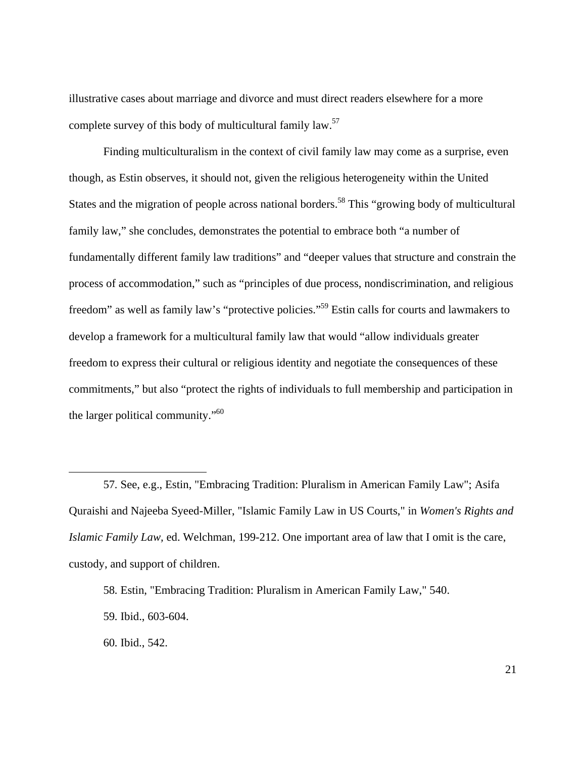illustrative cases about marriage and divorce and must direct readers elsewhere for a more complete survey of this body of multicultural family law.57

Finding multiculturalism in the context of civil family law may come as a surprise, even though, as Estin observes, it should not, given the religious heterogeneity within the United States and the migration of people across national borders.<sup>58</sup> This "growing body of multicultural family law," she concludes, demonstrates the potential to embrace both "a number of fundamentally different family law traditions" and "deeper values that structure and constrain the process of accommodation," such as "principles of due process, nondiscrimination, and religious freedom" as well as family law's "protective policies."59 Estin calls for courts and lawmakers to develop a framework for a multicultural family law that would "allow individuals greater freedom to express their cultural or religious identity and negotiate the consequences of these commitments," but also "protect the rights of individuals to full membership and participation in the larger political community."<sup>60</sup>

<sup>57</sup>*.* See, e.g., Estin, "Embracing Tradition: Pluralism in American Family Law"; Asifa Quraishi and Najeeba Syeed-Miller, "Islamic Family Law in US Courts," in *Women's Rights and Islamic Family Law,* ed. Welchman, 199-212. One important area of law that I omit is the care, custody, and support of children.

<sup>58</sup>*.* Estin, "Embracing Tradition: Pluralism in American Family Law," 540.

<sup>59</sup>*.* Ibid., 603-604.

<sup>60</sup>*.* Ibid., 542.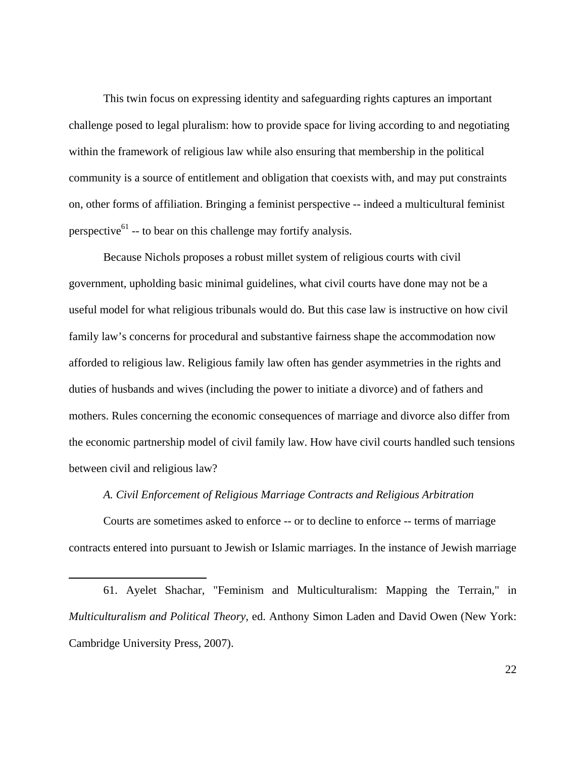This twin focus on expressing identity and safeguarding rights captures an important challenge posed to legal pluralism: how to provide space for living according to and negotiating within the framework of religious law while also ensuring that membership in the political community is a source of entitlement and obligation that coexists with, and may put constraints on, other forms of affiliation. Bringing a feminist perspective -- indeed a multicultural feminist perspective<sup>61</sup> -- to bear on this challenge may fortify analysis.

Because Nichols proposes a robust millet system of religious courts with civil government, upholding basic minimal guidelines, what civil courts have done may not be a useful model for what religious tribunals would do. But this case law is instructive on how civil family law's concerns for procedural and substantive fairness shape the accommodation now afforded to religious law. Religious family law often has gender asymmetries in the rights and duties of husbands and wives (including the power to initiate a divorce) and of fathers and mothers. Rules concerning the economic consequences of marriage and divorce also differ from the economic partnership model of civil family law. How have civil courts handled such tensions between civil and religious law?

### *A. Civil Enforcement of Religious Marriage Contracts and Religious Arbitration*

Courts are sometimes asked to enforce -- or to decline to enforce -- terms of marriage contracts entered into pursuant to Jewish or Islamic marriages. In the instance of Jewish marriage

61. Ayelet Shachar, "Feminism and Multiculturalism: Mapping the Terrain," in *Multiculturalism and Political Theory,* ed. Anthony Simon Laden and David Owen (New York: Cambridge University Press, 2007).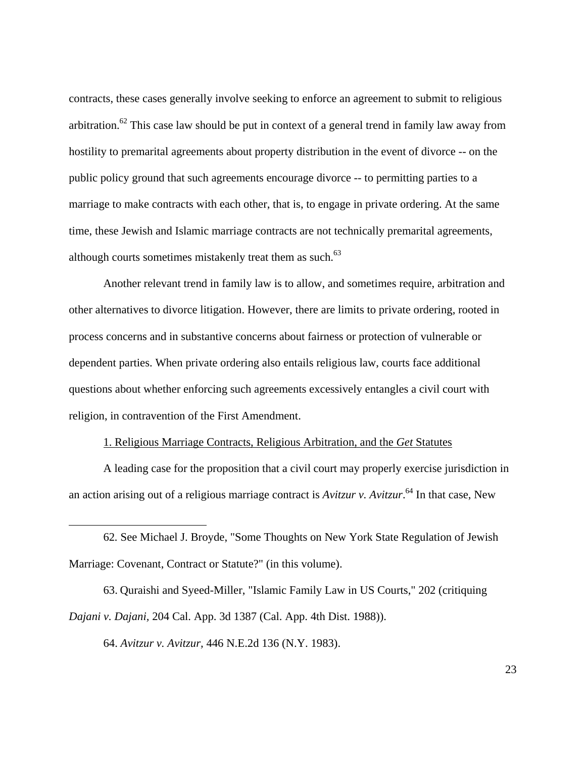contracts, these cases generally involve seeking to enforce an agreement to submit to religious arbitration.<sup>62</sup> This case law should be put in context of a general trend in family law away from hostility to premarital agreements about property distribution in the event of divorce -- on the public policy ground that such agreements encourage divorce -- to permitting parties to a marriage to make contracts with each other, that is, to engage in private ordering. At the same time, these Jewish and Islamic marriage contracts are not technically premarital agreements, although courts sometimes mistakenly treat them as such. $63$ 

Another relevant trend in family law is to allow, and sometimes require, arbitration and other alternatives to divorce litigation. However, there are limits to private ordering, rooted in process concerns and in substantive concerns about fairness or protection of vulnerable or dependent parties. When private ordering also entails religious law, courts face additional questions about whether enforcing such agreements excessively entangles a civil court with religion, in contravention of the First Amendment.

#### 1. Religious Marriage Contracts, Religious Arbitration, and the *Get* Statutes

A leading case for the proposition that a civil court may properly exercise jurisdiction in an action arising out of a religious marriage contract is *Avitzur v. Avitzur*. 64 In that case, New

62*.* See Michael J. Broyde, "Some Thoughts on New York State Regulation of Jewish Marriage: Covenant, Contract or Statute?" (in this volume).

63. Quraishi and Syeed-Miller, "Islamic Family Law in US Courts," 202 (critiquing *Dajani v. Dajani,* 204 Cal. App. 3d 1387 (Cal. App. 4th Dist. 1988)).

64. *Avitzur v. Avitzur,* 446 N.E.2d 136 (N.Y. 1983).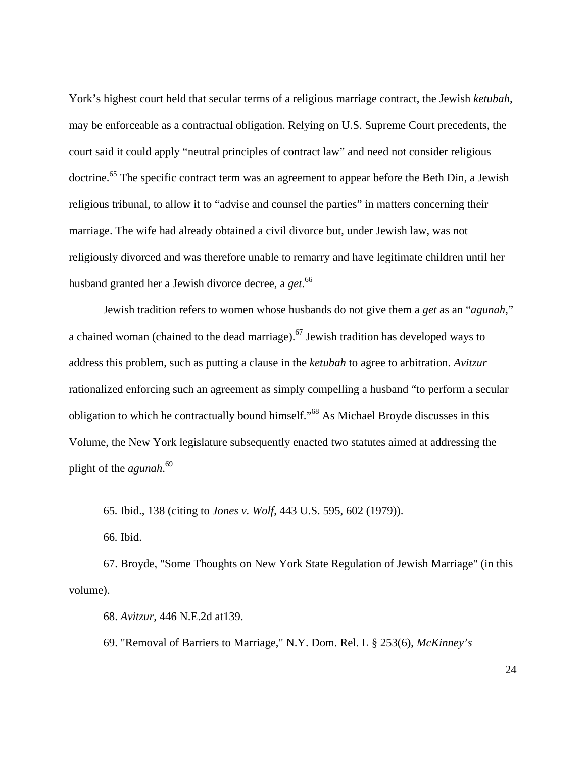York's highest court held that secular terms of a religious marriage contract, the Jewish *ketubah*, may be enforceable as a contractual obligation. Relying on U.S. Supreme Court precedents, the court said it could apply "neutral principles of contract law" and need not consider religious doctrine.<sup>65</sup> The specific contract term was an agreement to appear before the Beth Din, a Jewish religious tribunal, to allow it to "advise and counsel the parties" in matters concerning their marriage. The wife had already obtained a civil divorce but, under Jewish law, was not religiously divorced and was therefore unable to remarry and have legitimate children until her husband granted her a Jewish divorce decree, a *get*. 66

Jewish tradition refers to women whose husbands do not give them a *get* as an "*agunah*," a chained woman (chained to the dead marriage).<sup>67</sup> Jewish tradition has developed ways to address this problem, such as putting a clause in the *ketubah* to agree to arbitration. *Avitzur*  rationalized enforcing such an agreement as simply compelling a husband "to perform a secular obligation to which he contractually bound himself."68 As Michael Broyde discusses in this Volume, the New York legislature subsequently enacted two statutes aimed at addressing the plight of the *agunah*. 69

66*.* Ibid.

 $\overline{a}$ 

67. Broyde, "Some Thoughts on New York State Regulation of Jewish Marriage" (in this volume).

68. *Avitzur,* 446 N.E.2d at139.

69. "Removal of Barriers to Marriage," N.Y. Dom. Rel. L § 253(6), *McKinney's* 

<sup>65</sup>*.* Ibid., 138 (citing to *Jones v. Wolf*, 443 U.S. 595, 602 (1979)).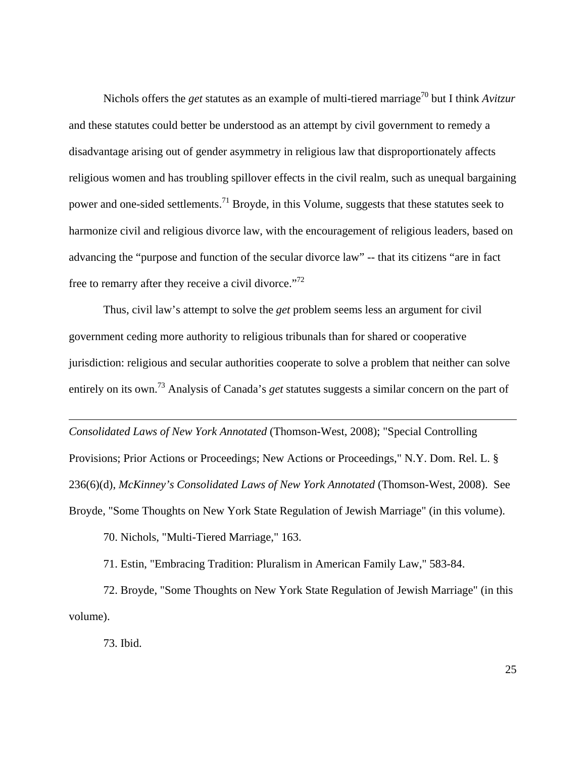Nichols offers the *get* statutes as an example of multi-tiered marriage<sup>70</sup> but I think *Avitzur* and these statutes could better be understood as an attempt by civil government to remedy a disadvantage arising out of gender asymmetry in religious law that disproportionately affects religious women and has troubling spillover effects in the civil realm, such as unequal bargaining power and one-sided settlements.<sup>71</sup> Broyde, in this Volume, suggests that these statutes seek to harmonize civil and religious divorce law, with the encouragement of religious leaders, based on advancing the "purpose and function of the secular divorce law" -- that its citizens "are in fact free to remarry after they receive a civil divorce."<sup>72</sup>

Thus, civil law's attempt to solve the *get* problem seems less an argument for civil government ceding more authority to religious tribunals than for shared or cooperative jurisdiction: religious and secular authorities cooperate to solve a problem that neither can solve entirely on its own.73 Analysis of Canada's *get* statutes suggests a similar concern on the part of

*Consolidated Laws of New York Annotated* (Thomson-West, 2008); "Special Controlling Provisions; Prior Actions or Proceedings; New Actions or Proceedings," N.Y. Dom. Rel. L. § 236(6)(d), *McKinney's Consolidated Laws of New York Annotated* (Thomson-West, 2008). See Broyde, "Some Thoughts on New York State Regulation of Jewish Marriage" (in this volume).

70. Nichols, "Multi-Tiered Marriage," 163.

71. Estin, "Embracing Tradition: Pluralism in American Family Law," 583-84.

72. Broyde, "Some Thoughts on New York State Regulation of Jewish Marriage" (in this volume).

73. Ibid.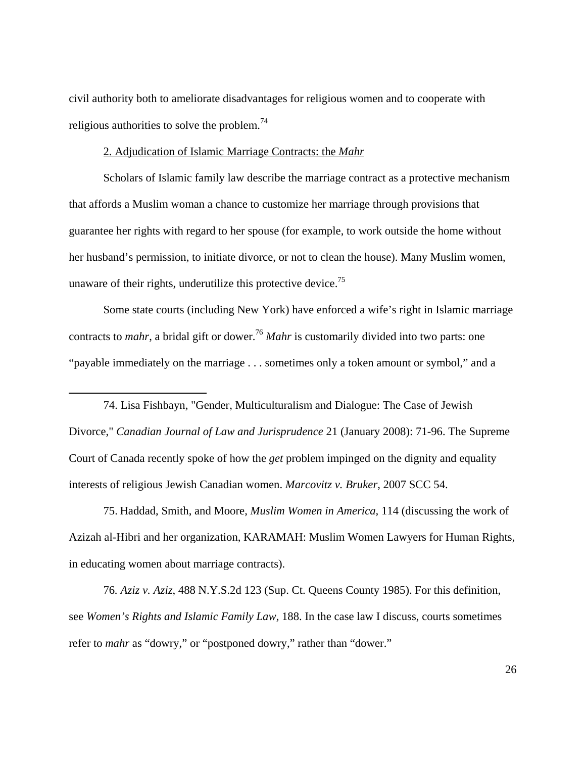civil authority both to ameliorate disadvantages for religious women and to cooperate with religious authorities to solve the problem.<sup>74</sup>

#### 2. Adjudication of Islamic Marriage Contracts: the *Mahr*

1

Scholars of Islamic family law describe the marriage contract as a protective mechanism that affords a Muslim woman a chance to customize her marriage through provisions that guarantee her rights with regard to her spouse (for example, to work outside the home without her husband's permission, to initiate divorce, or not to clean the house). Many Muslim women, unaware of their rights, underutilize this protective device.<sup>75</sup>

Some state courts (including New York) have enforced a wife's right in Islamic marriage contracts to *mahr*, a bridal gift or dower.<sup>76</sup> *Mahr* is customarily divided into two parts: one "payable immediately on the marriage . . . sometimes only a token amount or symbol," and a

74. Lisa Fishbayn, "Gender, Multiculturalism and Dialogue: The Case of Jewish Divorce," *Canadian Journal of Law and Jurisprudence* 21 (January 2008): 71-96. The Supreme Court of Canada recently spoke of how the *get* problem impinged on the dignity and equality interests of religious Jewish Canadian women. *Marcovitz v. Bruker*, 2007 SCC 54.

75. Haddad, Smith, and Moore, *Muslim Women in America,* 114 (discussing the work of Azizah al-Hibri and her organization, KARAMAH: Muslim Women Lawyers for Human Rights, in educating women about marriage contracts).

76*. Aziz v. Aziz*, 488 N.Y.S.2d 123 (Sup. Ct. Queens County 1985). For this definition, see *Women's Rights and Islamic Family Law,* 188. In the case law I discuss, courts sometimes refer to *mahr* as "dowry," or "postponed dowry," rather than "dower."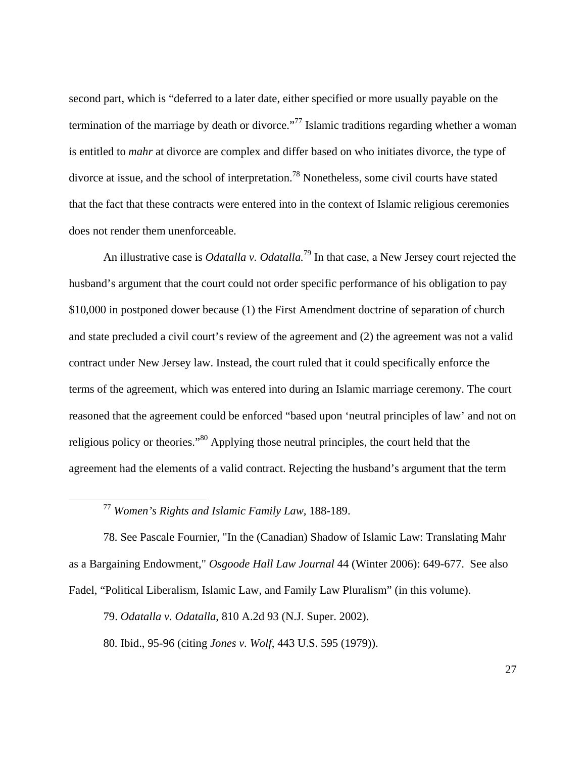second part, which is "deferred to a later date, either specified or more usually payable on the termination of the marriage by death or divorce."<sup>77</sup> Islamic traditions regarding whether a woman is entitled to *mahr* at divorce are complex and differ based on who initiates divorce, the type of divorce at issue, and the school of interpretation.78 Nonetheless, some civil courts have stated that the fact that these contracts were entered into in the context of Islamic religious ceremonies does not render them unenforceable.

An illustrative case is *Odatalla v. Odatalla.*79 In that case, a New Jersey court rejected the husband's argument that the court could not order specific performance of his obligation to pay \$10,000 in postponed dower because (1) the First Amendment doctrine of separation of church and state precluded a civil court's review of the agreement and (2) the agreement was not a valid contract under New Jersey law. Instead, the court ruled that it could specifically enforce the terms of the agreement, which was entered into during an Islamic marriage ceremony. The court reasoned that the agreement could be enforced "based upon 'neutral principles of law' and not on religious policy or theories."80 Applying those neutral principles, the court held that the agreement had the elements of a valid contract. Rejecting the husband's argument that the term

77 *Women's Rights and Islamic Family Law,* 188-189.

78*.* See Pascale Fournier, "In the (Canadian) Shadow of Islamic Law: Translating Mahr as a Bargaining Endowment," *Osgoode Hall Law Journal* 44 (Winter 2006): 649-677. See also Fadel, "Political Liberalism, Islamic Law, and Family Law Pluralism" (in this volume).

79. *Odatalla v. Odatalla*, 810 A.2d 93 (N.J. Super. 2002).

80*.* Ibid., 95-96 (citing *Jones v. Wolf*, 443 U.S. 595 (1979)).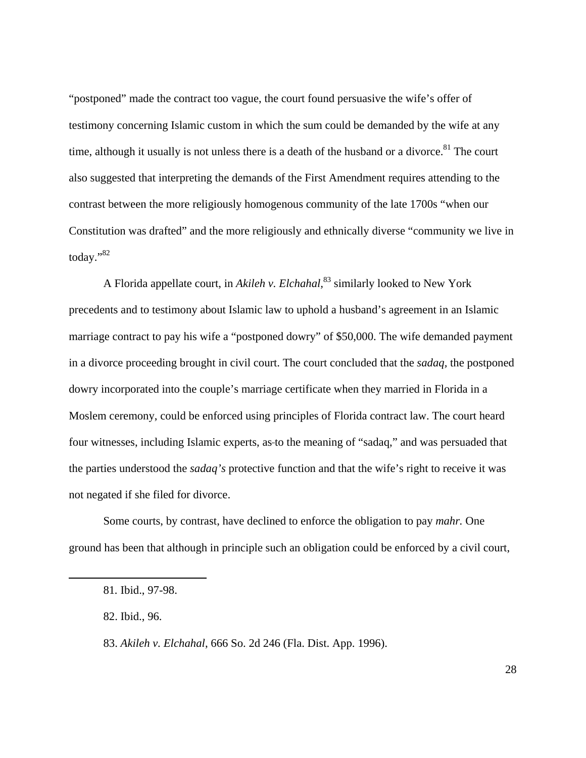"postponed" made the contract too vague, the court found persuasive the wife's offer of testimony concerning Islamic custom in which the sum could be demanded by the wife at any time, although it usually is not unless there is a death of the husband or a divorce. $81$  The court also suggested that interpreting the demands of the First Amendment requires attending to the contrast between the more religiously homogenous community of the late 1700s "when our Constitution was drafted" and the more religiously and ethnically diverse "community we live in today."82

A Florida appellate court, in *Akileh v. Elchahal,*83 similarly looked to New York precedents and to testimony about Islamic law to uphold a husband's agreement in an Islamic marriage contract to pay his wife a "postponed dowry" of \$50,000. The wife demanded payment in a divorce proceeding brought in civil court. The court concluded that the *sadaq,* the postponed dowry incorporated into the couple's marriage certificate when they married in Florida in a Moslem ceremony, could be enforced using principles of Florida contract law. The court heard four witnesses, including Islamic experts, as to the meaning of "sadaq," and was persuaded that the parties understood the *sadaq's* protective function and that the wife's right to receive it was not negated if she filed for divorce.

Some courts, by contrast, have declined to enforce the obligation to pay *mahr.* One ground has been that although in principle such an obligation could be enforced by a civil court,

<sup>81</sup>*.* Ibid., 97-98.

<sup>82.</sup> Ibid., 96.

<sup>83.</sup> *Akileh v. Elchahal*, 666 So. 2d 246 (Fla. Dist. App. 1996).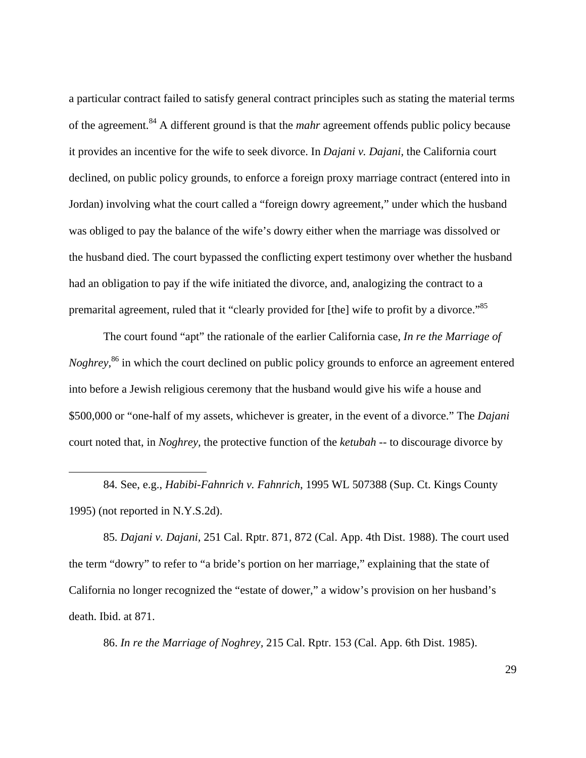a particular contract failed to satisfy general contract principles such as stating the material terms of the agreement.84 A different ground is that the *mahr* agreement offends public policy because it provides an incentive for the wife to seek divorce. In *Dajani v. Dajani,* the California court declined, on public policy grounds, to enforce a foreign proxy marriage contract (entered into in Jordan) involving what the court called a "foreign dowry agreement," under which the husband was obliged to pay the balance of the wife's dowry either when the marriage was dissolved or the husband died. The court bypassed the conflicting expert testimony over whether the husband had an obligation to pay if the wife initiated the divorce, and, analogizing the contract to a premarital agreement, ruled that it "clearly provided for [the] wife to profit by a divorce."<sup>85</sup>

The court found "apt" the rationale of the earlier California case, *In re the Marriage of Noghrey*,<sup>86</sup> in which the court declined on public policy grounds to enforce an agreement entered into before a Jewish religious ceremony that the husband would give his wife a house and \$500,000 or "one-half of my assets, whichever is greater, in the event of a divorce." The *Dajani* court noted that, in *Noghrey,* the protective function of the *ketubah* -- to discourage divorce by

84*.* See, e.g., *Habibi-Fahnrich v. Fahnrich*, 1995 WL 507388 (Sup. Ct. Kings County 1995) (not reported in N.Y.S.2d).

<u>.</u>

85*. Dajani v. Dajani,* 251 Cal. Rptr. 871, 872 (Cal. App. 4th Dist. 1988). The court used the term "dowry" to refer to "a bride's portion on her marriage," explaining that the state of California no longer recognized the "estate of dower," a widow's provision on her husband's death. Ibid. at 871.

86. *In re the Marriage of Noghrey,* 215 Cal. Rptr. 153 (Cal. App. 6th Dist. 1985).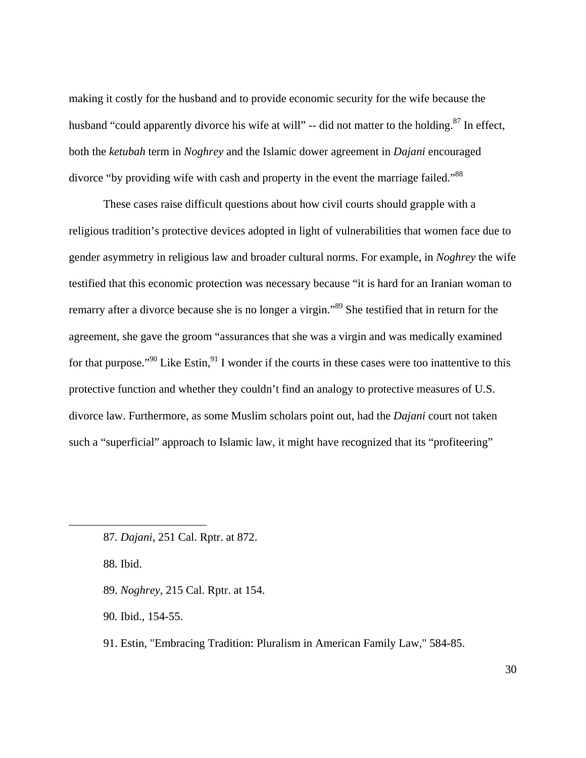making it costly for the husband and to provide economic security for the wife because the husband "could apparently divorce his wife at will" -- did not matter to the holding.<sup>87</sup> In effect, both the *ketubah* term in *Noghrey* and the Islamic dower agreement in *Dajani* encouraged divorce "by providing wife with cash and property in the event the marriage failed."<sup>88</sup>

These cases raise difficult questions about how civil courts should grapple with a religious tradition's protective devices adopted in light of vulnerabilities that women face due to gender asymmetry in religious law and broader cultural norms. For example, in *Noghrey* the wife testified that this economic protection was necessary because "it is hard for an Iranian woman to remarry after a divorce because she is no longer a virgin."89 She testified that in return for the agreement, she gave the groom "assurances that she was a virgin and was medically examined for that purpose."<sup>90</sup> Like Estin,<sup>91</sup> I wonder if the courts in these cases were too inattentive to this protective function and whether they couldn't find an analogy to protective measures of U.S. divorce law. Furthermore, as some Muslim scholars point out, had the *Dajani* court not taken such a "superficial" approach to Islamic law, it might have recognized that its "profiteering"

88*.* Ibid.

 $\overline{a}$ 

89. *Noghrey,* 215 Cal. Rptr. at 154.

90*.* Ibid., 154-55.

91. Estin, "Embracing Tradition: Pluralism in American Family Law*,*" 584-85.

<sup>87</sup>*. Dajani*, 251 Cal. Rptr. at 872.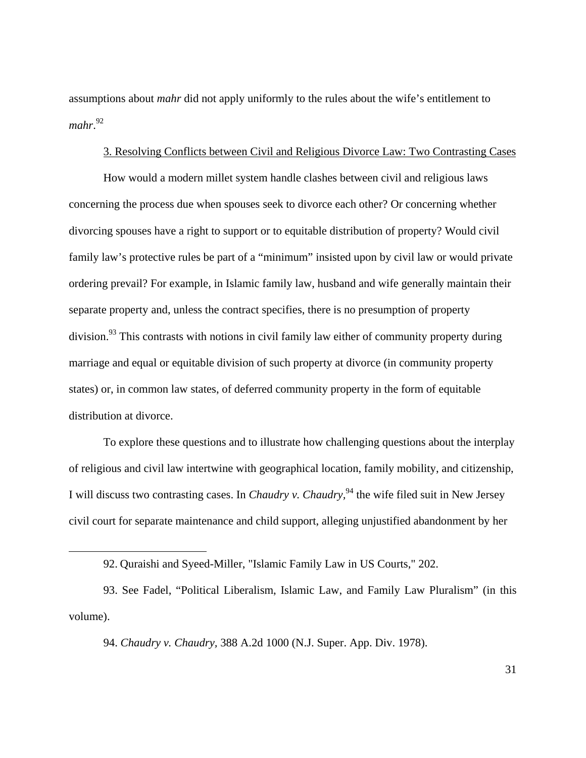assumptions about *mahr* did not apply uniformly to the rules about the wife's entitlement to *mahr*. 92

#### 3. Resolving Conflicts between Civil and Religious Divorce Law: Two Contrasting Cases

How would a modern millet system handle clashes between civil and religious laws concerning the process due when spouses seek to divorce each other? Or concerning whether divorcing spouses have a right to support or to equitable distribution of property? Would civil family law's protective rules be part of a "minimum" insisted upon by civil law or would private ordering prevail? For example, in Islamic family law, husband and wife generally maintain their separate property and, unless the contract specifies, there is no presumption of property division.<sup>93</sup> This contrasts with notions in civil family law either of community property during marriage and equal or equitable division of such property at divorce (in community property states) or, in common law states, of deferred community property in the form of equitable distribution at divorce.

To explore these questions and to illustrate how challenging questions about the interplay of religious and civil law intertwine with geographical location, family mobility, and citizenship, I will discuss two contrasting cases. In *Chaudry v. Chaudry,*94 the wife filed suit in New Jersey civil court for separate maintenance and child support, alleging unjustified abandonment by her

 $\overline{a}$ 

94. *Chaudry v. Chaudry,* 388 A.2d 1000 (N.J. Super. App. Div. 1978).

<sup>92.</sup> Quraishi and Syeed-Miller, "Islamic Family Law in US Courts," 202.

<sup>93.</sup> See Fadel, "Political Liberalism, Islamic Law, and Family Law Pluralism" (in this volume).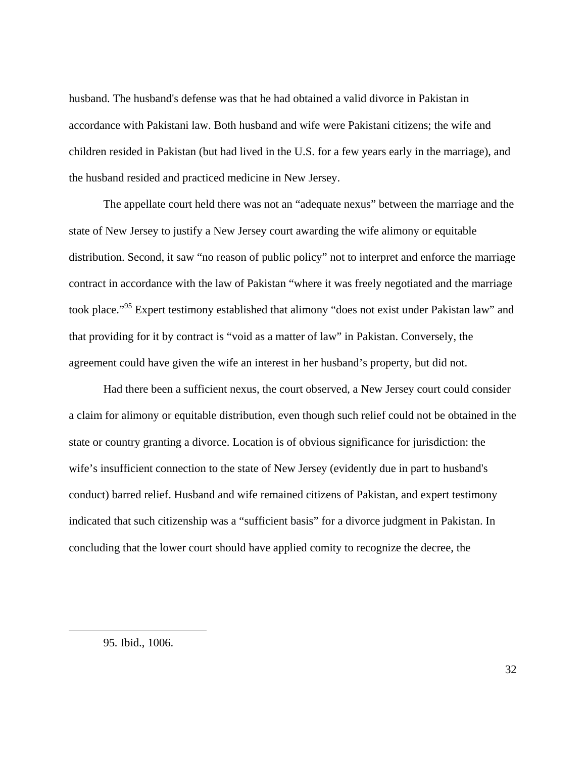husband. The husband's defense was that he had obtained a valid divorce in Pakistan in accordance with Pakistani law. Both husband and wife were Pakistani citizens; the wife and children resided in Pakistan (but had lived in the U.S. for a few years early in the marriage), and the husband resided and practiced medicine in New Jersey.

The appellate court held there was not an "adequate nexus" between the marriage and the state of New Jersey to justify a New Jersey court awarding the wife alimony or equitable distribution. Second, it saw "no reason of public policy" not to interpret and enforce the marriage contract in accordance with the law of Pakistan "where it was freely negotiated and the marriage took place."95 Expert testimony established that alimony "does not exist under Pakistan law" and that providing for it by contract is "void as a matter of law" in Pakistan. Conversely, the agreement could have given the wife an interest in her husband's property, but did not.

Had there been a sufficient nexus, the court observed, a New Jersey court could consider a claim for alimony or equitable distribution, even though such relief could not be obtained in the state or country granting a divorce. Location is of obvious significance for jurisdiction: the wife's insufficient connection to the state of New Jersey (evidently due in part to husband's conduct) barred relief. Husband and wife remained citizens of Pakistan, and expert testimony indicated that such citizenship was a "sufficient basis" for a divorce judgment in Pakistan. In concluding that the lower court should have applied comity to recognize the decree, the

<sup>95</sup>*.* Ibid., 1006.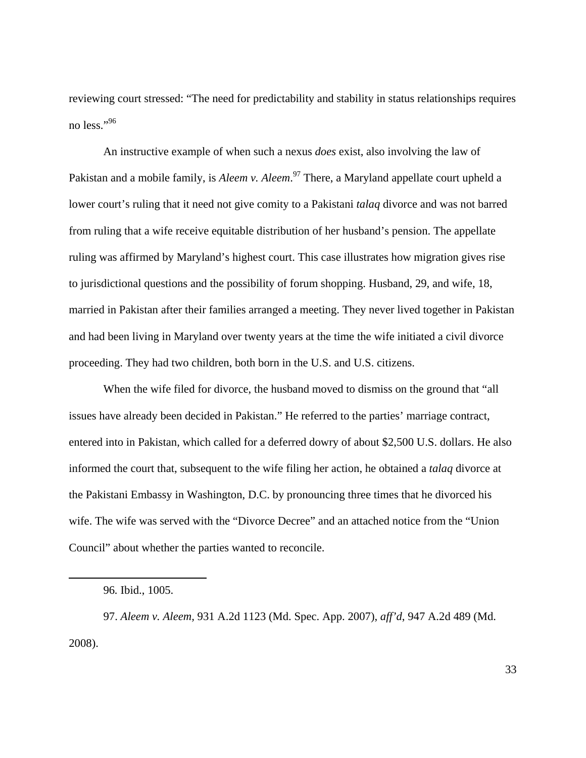reviewing court stressed: "The need for predictability and stability in status relationships requires no less."96

An instructive example of when such a nexus *does* exist, also involving the law of Pakistan and a mobile family, is *Aleem v. Aleem*. 97 There, a Maryland appellate court upheld a lower court's ruling that it need not give comity to a Pakistani *talaq* divorce and was not barred from ruling that a wife receive equitable distribution of her husband's pension. The appellate ruling was affirmed by Maryland's highest court. This case illustrates how migration gives rise to jurisdictional questions and the possibility of forum shopping. Husband, 29, and wife, 18, married in Pakistan after their families arranged a meeting. They never lived together in Pakistan and had been living in Maryland over twenty years at the time the wife initiated a civil divorce proceeding. They had two children, both born in the U.S. and U.S. citizens.

When the wife filed for divorce, the husband moved to dismiss on the ground that "all issues have already been decided in Pakistan." He referred to the parties' marriage contract, entered into in Pakistan, which called for a deferred dowry of about \$2,500 U.S. dollars. He also informed the court that, subsequent to the wife filing her action, he obtained a *talaq* divorce at the Pakistani Embassy in Washington, D.C. by pronouncing three times that he divorced his wife. The wife was served with the "Divorce Decree" and an attached notice from the "Union Council" about whether the parties wanted to reconcile.

1

97. *Aleem v. Aleem,* 931 A.2d 1123 (Md. Spec. App. 2007), *aff'd*, 947 A.2d 489 (Md. 2008).

<sup>96</sup>*.* Ibid., 1005.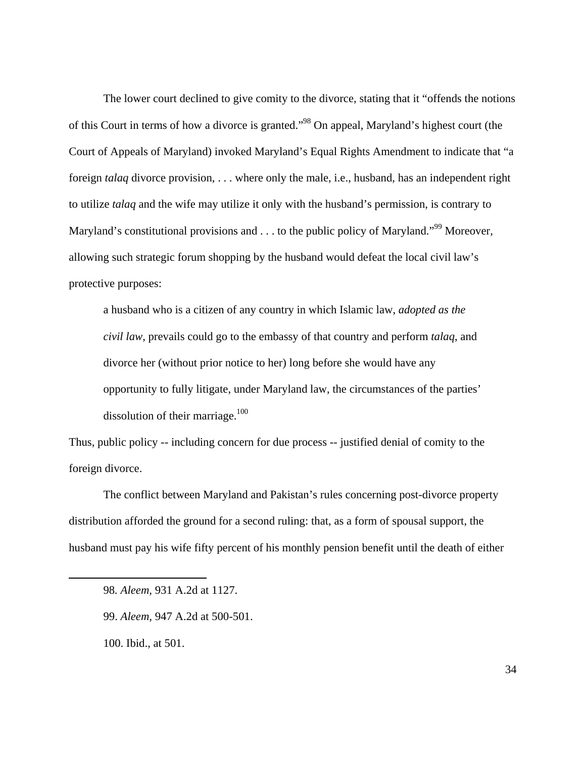The lower court declined to give comity to the divorce, stating that it "offends the notions of this Court in terms of how a divorce is granted."98 On appeal, Maryland's highest court (the Court of Appeals of Maryland) invoked Maryland's Equal Rights Amendment to indicate that "a foreign *talaq* divorce provision, . . . where only the male, i.e., husband, has an independent right to utilize *talaq* and the wife may utilize it only with the husband's permission, is contrary to Maryland's constitutional provisions and . . . to the public policy of Maryland."<sup>99</sup> Moreover, allowing such strategic forum shopping by the husband would defeat the local civil law's protective purposes:

a husband who is a citizen of any country in which Islamic law, *adopted as the civil law*, prevails could go to the embassy of that country and perform *talaq*, and divorce her (without prior notice to her) long before she would have any opportunity to fully litigate, under Maryland law, the circumstances of the parties' dissolution of their marriage. $100$ 

Thus, public policy -- including concern for due process -- justified denial of comity to the foreign divorce.

The conflict between Maryland and Pakistan's rules concerning post-divorce property distribution afforded the ground for a second ruling: that, as a form of spousal support, the husband must pay his wife fifty percent of his monthly pension benefit until the death of either

<sup>98</sup>*. Aleem,* 931 A.2d at 1127.

<sup>99.</sup> *Aleem,* 947 A.2d at 500-501.

<sup>100.</sup> Ibid., at 501.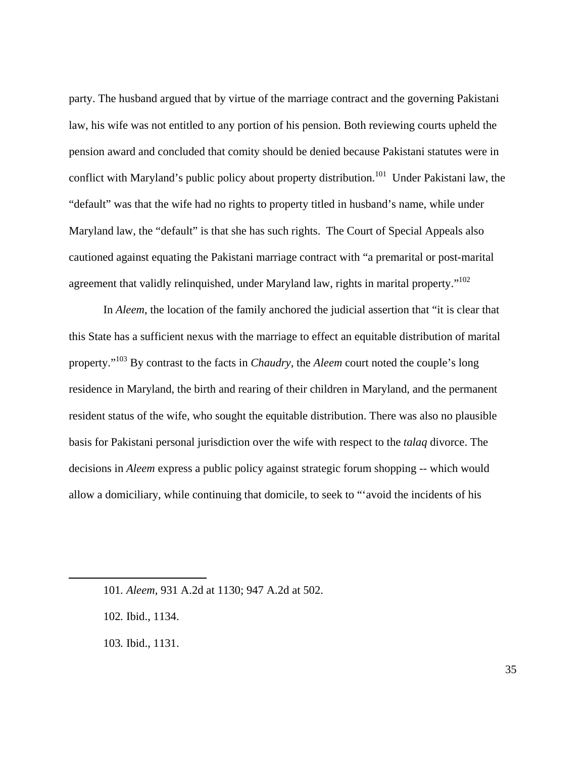party. The husband argued that by virtue of the marriage contract and the governing Pakistani law, his wife was not entitled to any portion of his pension. Both reviewing courts upheld the pension award and concluded that comity should be denied because Pakistani statutes were in conflict with Maryland's public policy about property distribution.<sup>101</sup> Under Pakistani law, the "default" was that the wife had no rights to property titled in husband's name, while under Maryland law, the "default" is that she has such rights. The Court of Special Appeals also cautioned against equating the Pakistani marriage contract with "a premarital or post-marital agreement that validly relinquished, under Maryland law, rights in marital property."<sup>102</sup>

In *Aleem*, the location of the family anchored the judicial assertion that "it is clear that this State has a sufficient nexus with the marriage to effect an equitable distribution of marital property."103 By contrast to the facts in *Chaudry,* the *Aleem* court noted the couple's long residence in Maryland, the birth and rearing of their children in Maryland, and the permanent resident status of the wife, who sought the equitable distribution. There was also no plausible basis for Pakistani personal jurisdiction over the wife with respect to the *talaq* divorce. The decisions in *Aleem* express a public policy against strategic forum shopping -- which would allow a domiciliary, while continuing that domicile, to seek to "'avoid the incidents of his

<sup>101</sup>*. Aleem,* 931 A.2d at 1130; 947 A.2d at 502.

<sup>102</sup>*.* Ibid., 1134.

<sup>103</sup>*.* Ibid., 1131.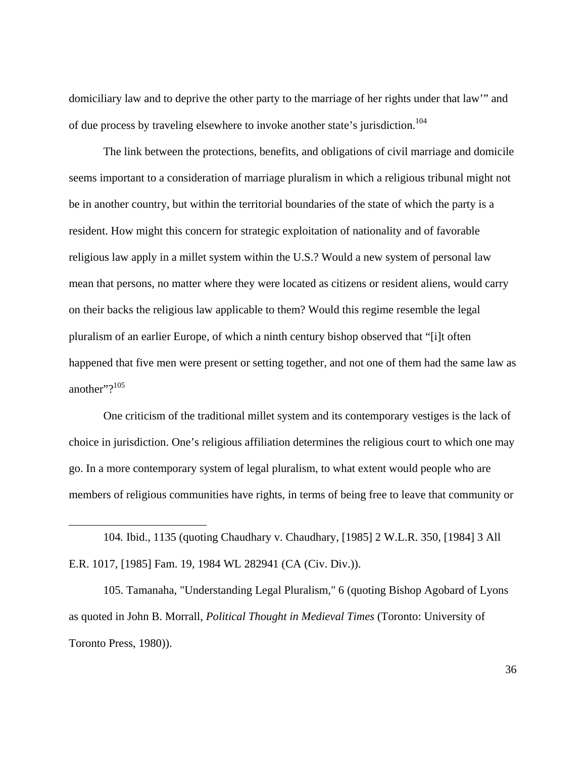domiciliary law and to deprive the other party to the marriage of her rights under that law'" and of due process by traveling elsewhere to invoke another state's jurisdiction.<sup>104</sup>

The link between the protections, benefits, and obligations of civil marriage and domicile seems important to a consideration of marriage pluralism in which a religious tribunal might not be in another country, but within the territorial boundaries of the state of which the party is a resident. How might this concern for strategic exploitation of nationality and of favorable religious law apply in a millet system within the U.S.? Would a new system of personal law mean that persons, no matter where they were located as citizens or resident aliens, would carry on their backs the religious law applicable to them? Would this regime resemble the legal pluralism of an earlier Europe, of which a ninth century bishop observed that "[i]t often happened that five men were present or setting together, and not one of them had the same law as another"?<sup>105</sup>

One criticism of the traditional millet system and its contemporary vestiges is the lack of choice in jurisdiction. One's religious affiliation determines the religious court to which one may go. In a more contemporary system of legal pluralism, to what extent would people who are members of religious communities have rights, in terms of being free to leave that community or

104*.* Ibid., 1135 (quoting Chaudhary v. Chaudhary, [1985] 2 W.L.R. 350, [1984] 3 All E.R. 1017, [1985] Fam. 19, 1984 WL 282941 (CA (Civ. Div.)).

 $\overline{a}$ 

105. Tamanaha, "Understanding Legal Pluralism," 6 (quoting Bishop Agobard of Lyons as quoted in John B. Morrall, *Political Thought in Medieval Times* (Toronto: University of Toronto Press, 1980)).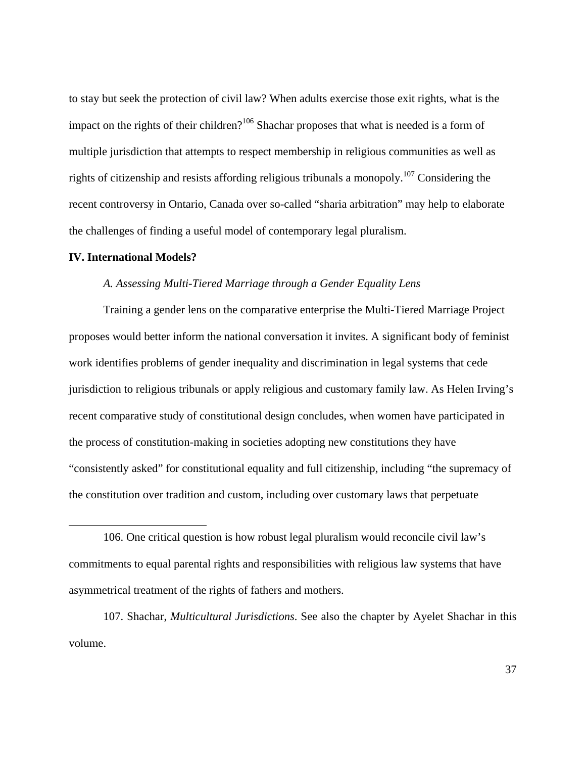to stay but seek the protection of civil law? When adults exercise those exit rights, what is the impact on the rights of their children?<sup>106</sup> Shachar proposes that what is needed is a form of multiple jurisdiction that attempts to respect membership in religious communities as well as rights of citizenship and resists affording religious tribunals a monopoly.<sup>107</sup> Considering the recent controversy in Ontario, Canada over so-called "sharia arbitration" may help to elaborate the challenges of finding a useful model of contemporary legal pluralism.

#### **IV. International Models?**

 $\overline{a}$ 

#### *A. Assessing Multi-Tiered Marriage through a Gender Equality Lens*

Training a gender lens on the comparative enterprise the Multi-Tiered Marriage Project proposes would better inform the national conversation it invites. A significant body of feminist work identifies problems of gender inequality and discrimination in legal systems that cede jurisdiction to religious tribunals or apply religious and customary family law. As Helen Irving's recent comparative study of constitutional design concludes, when women have participated in the process of constitution-making in societies adopting new constitutions they have "consistently asked" for constitutional equality and full citizenship, including "the supremacy of the constitution over tradition and custom, including over customary laws that perpetuate

<sup>106.</sup> One critical question is how robust legal pluralism would reconcile civil law's commitments to equal parental rights and responsibilities with religious law systems that have asymmetrical treatment of the rights of fathers and mothers.

<sup>107.</sup> Shachar, *Multicultural Jurisdictions*. See also the chapter by Ayelet Shachar in this volume.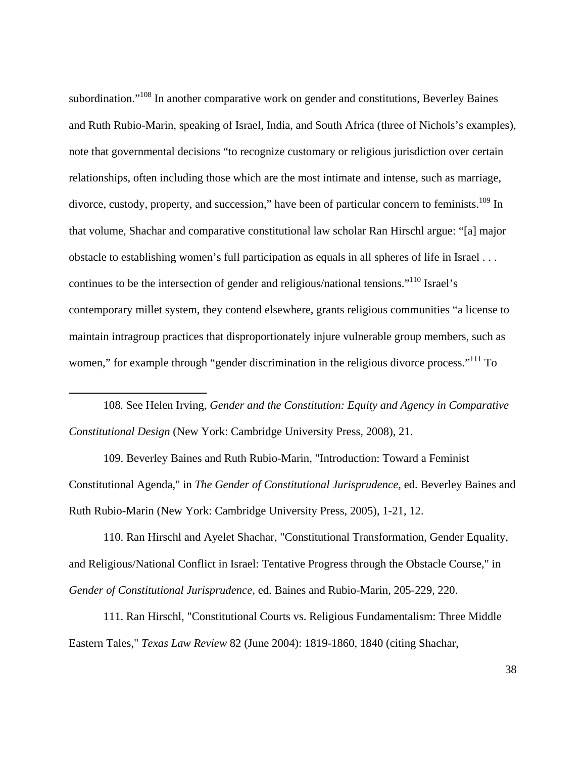subordination."<sup>108</sup> In another comparative work on gender and constitutions, Beverley Baines and Ruth Rubio-Marin, speaking of Israel, India, and South Africa (three of Nichols's examples), note that governmental decisions "to recognize customary or religious jurisdiction over certain relationships, often including those which are the most intimate and intense, such as marriage, divorce, custody, property, and succession," have been of particular concern to feminists.<sup>109</sup> In that volume, Shachar and comparative constitutional law scholar Ran Hirschl argue: "[a] major obstacle to establishing women's full participation as equals in all spheres of life in Israel . . . continues to be the intersection of gender and religious/national tensions."<sup>110</sup> Israel's contemporary millet system, they contend elsewhere, grants religious communities "a license to maintain intragroup practices that disproportionately injure vulnerable group members, such as women," for example through "gender discrimination in the religious divorce process."<sup>111</sup> To

108*.* See Helen Irving, *Gender and the Constitution: Equity and Agency in Comparative Constitutional Design* (New York: Cambridge University Press, 2008), 21.

1

109. Beverley Baines and Ruth Rubio-Marin, "Introduction: Toward a Feminist Constitutional Agenda," in *The Gender of Constitutional Jurisprudence,* ed. Beverley Baines and Ruth Rubio-Marin (New York: Cambridge University Press, 2005), 1-21, 12.

110. Ran Hirschl and Ayelet Shachar, "Constitutional Transformation, Gender Equality, and Religious/National Conflict in Israel: Tentative Progress through the Obstacle Course," in *Gender of Constitutional Jurisprudence,* ed. Baines and Rubio-Marin, 205-229, 220.

111. Ran Hirschl, "Constitutional Courts vs. Religious Fundamentalism: Three Middle Eastern Tales," *Texas Law Review* 82 (June 2004): 1819-1860, 1840 (citing Shachar,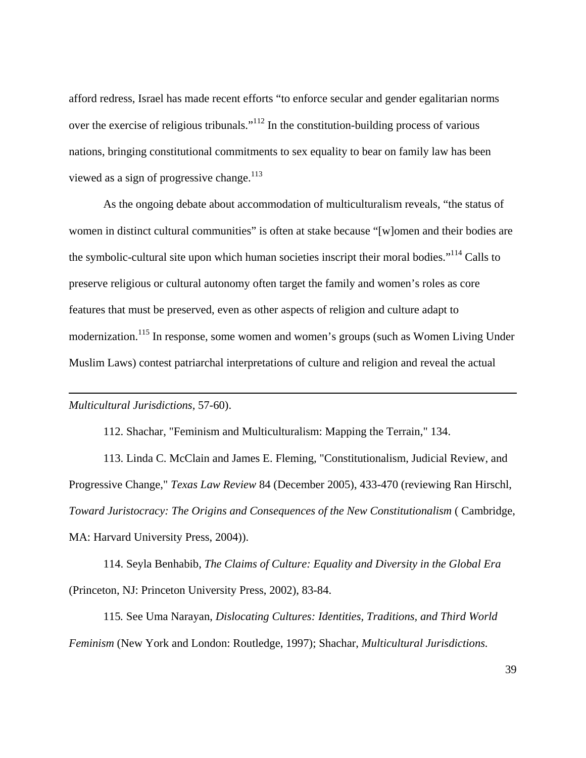afford redress, Israel has made recent efforts "to enforce secular and gender egalitarian norms over the exercise of religious tribunals."112 In the constitution-building process of various nations, bringing constitutional commitments to sex equality to bear on family law has been viewed as a sign of progressive change.<sup>113</sup>

As the ongoing debate about accommodation of multiculturalism reveals, "the status of women in distinct cultural communities" is often at stake because "[w]omen and their bodies are the symbolic-cultural site upon which human societies inscript their moral bodies."<sup>114</sup> Calls to preserve religious or cultural autonomy often target the family and women's roles as core features that must be preserved, even as other aspects of religion and culture adapt to modernization.<sup>115</sup> In response, some women and women's groups (such as Women Living Under Muslim Laws) contest patriarchal interpretations of culture and religion and reveal the actual

## *Multicultural Jurisdictions,* 57-60).

 $\overline{a}$ 

112. Shachar, "Feminism and Multiculturalism: Mapping the Terrain," 134.

113. Linda C. McClain and James E. Fleming, "Constitutionalism, Judicial Review, and Progressive Change," *Texas Law Review* 84 (December 2005), 433-470 (reviewing Ran Hirschl, *Toward Juristocracy: The Origins and Consequences of the New Constitutionalism* ( Cambridge, MA: Harvard University Press, 2004)).

114. Seyla Benhabib, *The Claims of Culture: Equality and Diversity in the Global Era*  (Princeton, NJ: Princeton University Press, 2002), 83-84.

115*.* See Uma Narayan, *Dislocating Cultures: Identities, Traditions, and Third World Feminism* (New York and London: Routledge, 1997); Shachar, *Multicultural Jurisdictions.*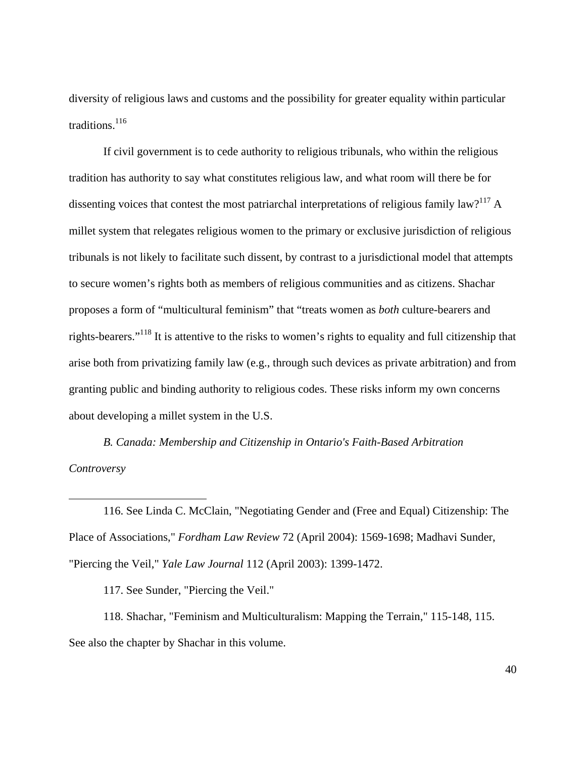diversity of religious laws and customs and the possibility for greater equality within particular traditions.<sup>116</sup>

If civil government is to cede authority to religious tribunals, who within the religious tradition has authority to say what constitutes religious law, and what room will there be for dissenting voices that contest the most patriarchal interpretations of religious family law?<sup>117</sup> A millet system that relegates religious women to the primary or exclusive jurisdiction of religious tribunals is not likely to facilitate such dissent, by contrast to a jurisdictional model that attempts to secure women's rights both as members of religious communities and as citizens. Shachar proposes a form of "multicultural feminism" that "treats women as *both* culture-bearers and rights-bearers."118 It is attentive to the risks to women's rights to equality and full citizenship that arise both from privatizing family law (e.g., through such devices as private arbitration) and from granting public and binding authority to religious codes. These risks inform my own concerns about developing a millet system in the U.S.

*B. Canada: Membership and Citizenship in Ontario's Faith-Based Arbitration Controversy* 

116. See Linda C. McClain, "Negotiating Gender and (Free and Equal) Citizenship: The Place of Associations," *Fordham Law Review* 72 (April 2004): 1569-1698; Madhavi Sunder, "Piercing the Veil," *Yale Law Journal* 112 (April 2003): 1399-1472.

117. See Sunder, "Piercing the Veil."

1

118. Shachar, "Feminism and Multiculturalism: Mapping the Terrain," 115-148, 115. See also the chapter by Shachar in this volume.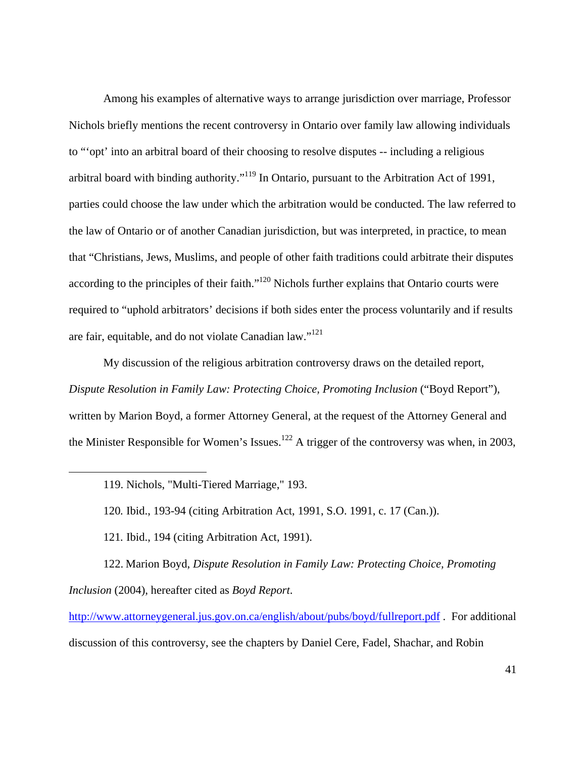Among his examples of alternative ways to arrange jurisdiction over marriage, Professor Nichols briefly mentions the recent controversy in Ontario over family law allowing individuals to "'opt' into an arbitral board of their choosing to resolve disputes -- including a religious arbitral board with binding authority."119 In Ontario, pursuant to the Arbitration Act of 1991, parties could choose the law under which the arbitration would be conducted. The law referred to the law of Ontario or of another Canadian jurisdiction, but was interpreted, in practice, to mean that "Christians, Jews, Muslims, and people of other faith traditions could arbitrate their disputes according to the principles of their faith."<sup>120</sup> Nichols further explains that Ontario courts were required to "uphold arbitrators' decisions if both sides enter the process voluntarily and if results are fair, equitable, and do not violate Canadian law."<sup>121</sup>

My discussion of the religious arbitration controversy draws on the detailed report, *Dispute Resolution in Family Law: Protecting Choice, Promoting Inclusion* ("Boyd Report"), written by Marion Boyd, a former Attorney General, at the request of the Attorney General and the Minister Responsible for Women's Issues.<sup>122</sup> A trigger of the controversy was when, in 2003,

119. Nichols, "Multi-Tiered Marriage," 193.

 $\overline{a}$ 

120*.* Ibid., 193-94 (citing Arbitration Act, 1991, S.O. 1991, c. 17 (Can.)).

121*.* Ibid., 194 (citing Arbitration Act, 1991).

122. Marion Boyd, *Dispute Resolution in Family Law: Protecting Choice, Promoting Inclusion* (2004), hereafter cited as *Boyd Report*.

http://www.attorneygeneral.jus.gov.on.ca/english/about/pubs/boyd/fullreport.pdf . For additional discussion of this controversy, see the chapters by Daniel Cere, Fadel, Shachar, and Robin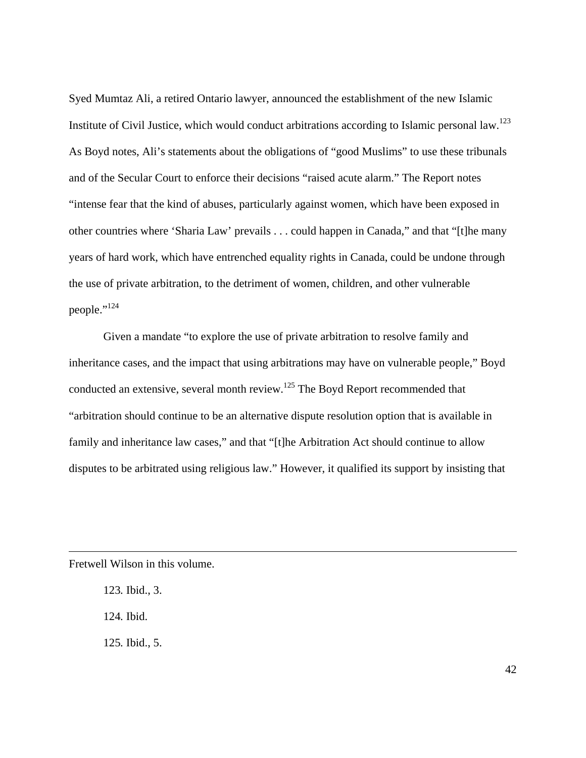Syed Mumtaz Ali, a retired Ontario lawyer, announced the establishment of the new Islamic Institute of Civil Justice, which would conduct arbitrations according to Islamic personal law.123 As Boyd notes, Ali's statements about the obligations of "good Muslims" to use these tribunals and of the Secular Court to enforce their decisions "raised acute alarm." The Report notes "intense fear that the kind of abuses, particularly against women, which have been exposed in other countries where 'Sharia Law' prevails . . . could happen in Canada," and that "[t]he many years of hard work, which have entrenched equality rights in Canada, could be undone through the use of private arbitration, to the detriment of women, children, and other vulnerable people."124

Given a mandate "to explore the use of private arbitration to resolve family and inheritance cases, and the impact that using arbitrations may have on vulnerable people," Boyd conducted an extensive, several month review.<sup>125</sup> The Boyd Report recommended that "arbitration should continue to be an alternative dispute resolution option that is available in family and inheritance law cases," and that "[t]he Arbitration Act should continue to allow disputes to be arbitrated using religious law." However, it qualified its support by insisting that

Fretwell Wilson in this volume.

 $\overline{a}$ 

123*.* Ibid., 3. 124*.* Ibid. 125*.* Ibid., 5.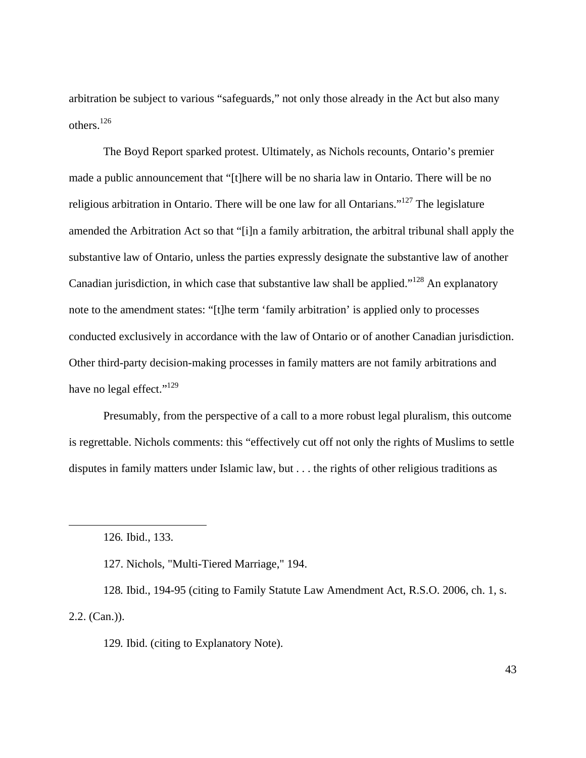arbitration be subject to various "safeguards," not only those already in the Act but also many others.126

The Boyd Report sparked protest. Ultimately, as Nichols recounts, Ontario's premier made a public announcement that "[t]here will be no sharia law in Ontario. There will be no religious arbitration in Ontario. There will be one law for all Ontarians."<sup>127</sup> The legislature amended the Arbitration Act so that "[i]n a family arbitration, the arbitral tribunal shall apply the substantive law of Ontario, unless the parties expressly designate the substantive law of another Canadian jurisdiction, in which case that substantive law shall be applied."<sup>128</sup> An explanatory note to the amendment states: "[t]he term 'family arbitration' is applied only to processes conducted exclusively in accordance with the law of Ontario or of another Canadian jurisdiction. Other third-party decision-making processes in family matters are not family arbitrations and have no legal effect."<sup>129</sup>

Presumably, from the perspective of a call to a more robust legal pluralism, this outcome is regrettable. Nichols comments: this "effectively cut off not only the rights of Muslims to settle disputes in family matters under Islamic law, but . . . the rights of other religious traditions as

<sup>126</sup>*.* Ibid., 133.

<sup>127.</sup> Nichols, "Multi-Tiered Marriage," 194.

<sup>128</sup>*.* Ibid., 194-95 (citing to Family Statute Law Amendment Act, R.S.O. 2006, ch. 1, s. 2.2. (Can.)).

<sup>129</sup>*.* Ibid. (citing to Explanatory Note).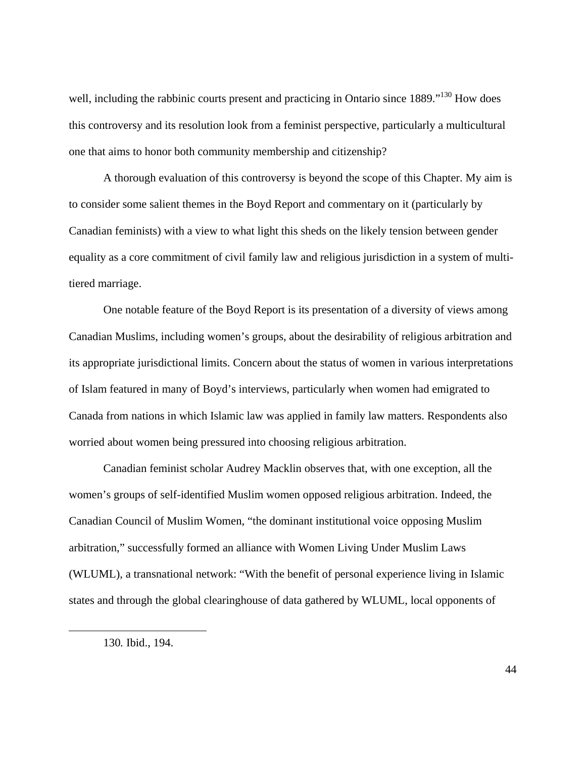well, including the rabbinic courts present and practicing in Ontario since 1889."<sup>130</sup> How does this controversy and its resolution look from a feminist perspective, particularly a multicultural one that aims to honor both community membership and citizenship?

A thorough evaluation of this controversy is beyond the scope of this Chapter. My aim is to consider some salient themes in the Boyd Report and commentary on it (particularly by Canadian feminists) with a view to what light this sheds on the likely tension between gender equality as a core commitment of civil family law and religious jurisdiction in a system of multitiered marriage.

One notable feature of the Boyd Report is its presentation of a diversity of views among Canadian Muslims, including women's groups, about the desirability of religious arbitration and its appropriate jurisdictional limits. Concern about the status of women in various interpretations of Islam featured in many of Boyd's interviews, particularly when women had emigrated to Canada from nations in which Islamic law was applied in family law matters. Respondents also worried about women being pressured into choosing religious arbitration.

Canadian feminist scholar Audrey Macklin observes that, with one exception, all the women's groups of self-identified Muslim women opposed religious arbitration. Indeed, the Canadian Council of Muslim Women, "the dominant institutional voice opposing Muslim arbitration," successfully formed an alliance with Women Living Under Muslim Laws (WLUML), a transnational network: "With the benefit of personal experience living in Islamic states and through the global clearinghouse of data gathered by WLUML, local opponents of

1

<sup>130</sup>*.* Ibid., 194.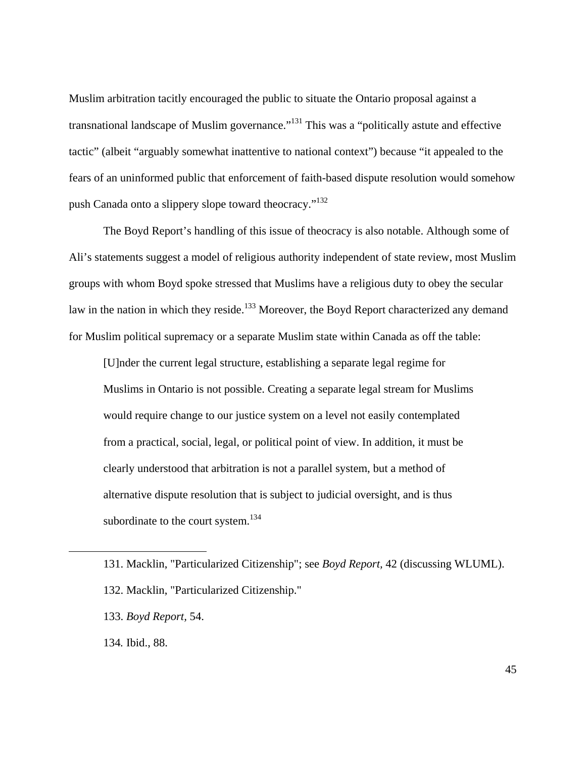Muslim arbitration tacitly encouraged the public to situate the Ontario proposal against a transnational landscape of Muslim governance."<sup>131</sup> This was a "politically astute and effective tactic" (albeit "arguably somewhat inattentive to national context") because "it appealed to the fears of an uninformed public that enforcement of faith-based dispute resolution would somehow push Canada onto a slippery slope toward theocracy."<sup>132</sup>

The Boyd Report's handling of this issue of theocracy is also notable. Although some of Ali's statements suggest a model of religious authority independent of state review, most Muslim groups with whom Boyd spoke stressed that Muslims have a religious duty to obey the secular law in the nation in which they reside.<sup>133</sup> Moreover, the Boyd Report characterized any demand for Muslim political supremacy or a separate Muslim state within Canada as off the table:

[U]nder the current legal structure, establishing a separate legal regime for Muslims in Ontario is not possible. Creating a separate legal stream for Muslims would require change to our justice system on a level not easily contemplated from a practical, social, legal, or political point of view. In addition, it must be clearly understood that arbitration is not a parallel system, but a method of alternative dispute resolution that is subject to judicial oversight, and is thus subordinate to the court system.<sup>134</sup>

134*.* Ibid., 88.

<sup>131.</sup> Macklin, "Particularized Citizenship"; see *Boyd Report,* 42 (discussing WLUML).

<sup>132.</sup> Macklin, "Particularized Citizenship."

<sup>133.</sup> *Boyd Report,* 54.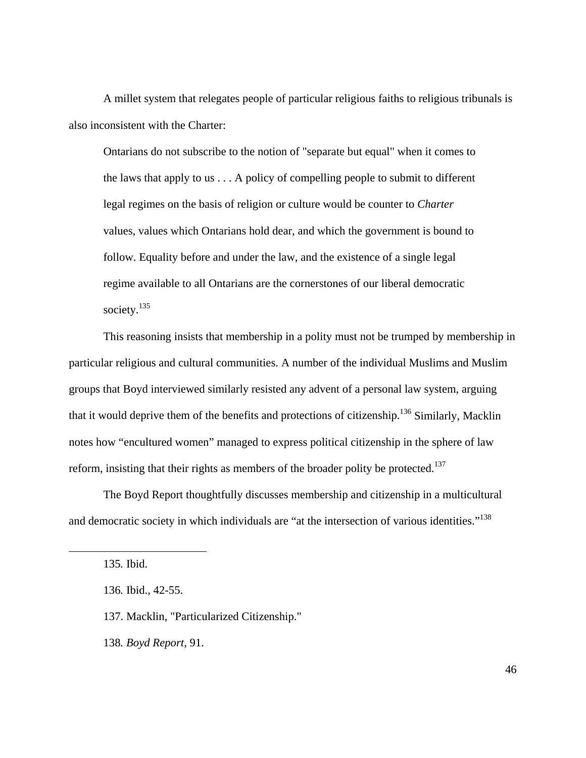A millet system that relegates people of particular religious faiths to religious tribunals is also inconsistent with the Charter:

Ontarians do not subscribe to the notion of "separate but equal" when it comes to the laws that apply to us . . . A policy of compelling people to submit to different legal regimes on the basis of religion or culture would be counter to *Charter* values, values which Ontarians hold dear, and which the government is bound to follow. Equality before and under the law, and the existence of a single legal regime available to all Ontarians are the cornerstones of our liberal democratic society.<sup>135</sup>

This reasoning insists that membership in a polity must not be trumped by membership in particular religious and cultural communities. A number of the individual Muslims and Muslim groups that Boyd interviewed similarly resisted any advent of a personal law system, arguing that it would deprive them of the benefits and protections of citizenship.<sup>136</sup> Similarly, Macklin notes how "encultured women" managed to express political citizenship in the sphere of law reform, insisting that their rights as members of the broader polity be protected.<sup>137</sup>

The Boyd Report thoughtfully discusses membership and citizenship in a multicultural and democratic society in which individuals are "at the intersection of various identities."<sup>138</sup>

135*.* Ibid.

 $\overline{a}$ 

138*. Boyd Report*, 91.

<sup>136</sup>*.* Ibid., 42-55.

<sup>137.</sup> Macklin, "Particularized Citizenship."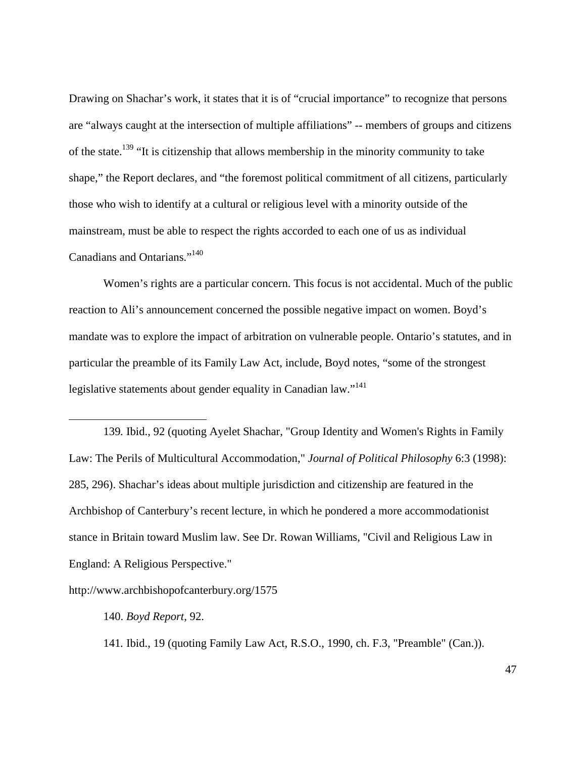Drawing on Shachar's work, it states that it is of "crucial importance" to recognize that persons are "always caught at the intersection of multiple affiliations" -- members of groups and citizens of the state.139 "It is citizenship that allows membership in the minority community to take shape," the Report declares, and "the foremost political commitment of all citizens, particularly those who wish to identify at a cultural or religious level with a minority outside of the mainstream, must be able to respect the rights accorded to each one of us as individual Canadians and Ontarians."140

Women's rights are a particular concern. This focus is not accidental. Much of the public reaction to Ali's announcement concerned the possible negative impact on women. Boyd's mandate was to explore the impact of arbitration on vulnerable people. Ontario's statutes, and in particular the preamble of its Family Law Act, include, Boyd notes, "some of the strongest legislative statements about gender equality in Canadian law."<sup>141</sup>

139*.* Ibid., 92 (quoting Ayelet Shachar, "Group Identity and Women's Rights in Family Law: The Perils of Multicultural Accommodation," *Journal of Political Philosophy* 6:3 (1998): 285, 296). Shachar's ideas about multiple jurisdiction and citizenship are featured in the Archbishop of Canterbury's recent lecture, in which he pondered a more accommodationist stance in Britain toward Muslim law. See Dr. Rowan Williams, "Civil and Religious Law in England: A Religious Perspective."

http://www.archbishopofcanterbury.org/1575

140. *Boyd Report,* 92.

 $\overline{a}$ 

141*.* Ibid., 19 (quoting Family Law Act, R.S.O., 1990, ch. F.3, "Preamble" (Can.)).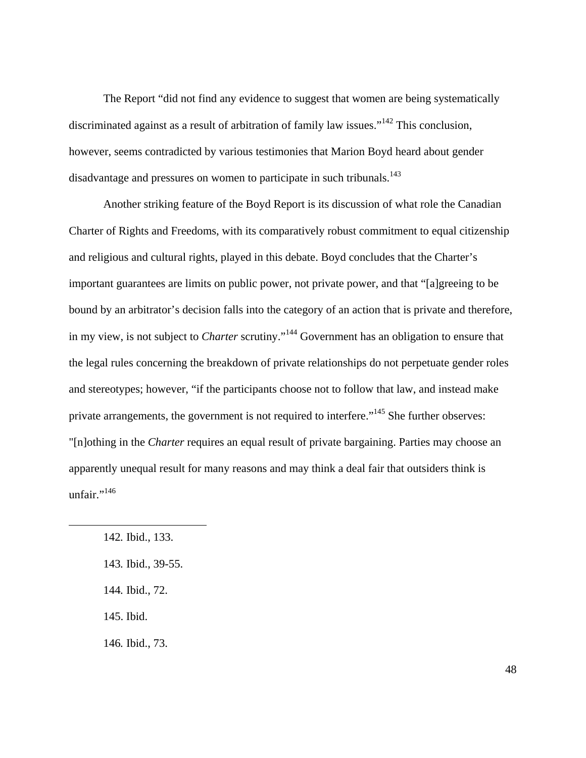The Report "did not find any evidence to suggest that women are being systematically discriminated against as a result of arbitration of family law issues."<sup>142</sup> This conclusion, however, seems contradicted by various testimonies that Marion Boyd heard about gender disadvantage and pressures on women to participate in such tribunals.<sup>143</sup>

Another striking feature of the Boyd Report is its discussion of what role the Canadian Charter of Rights and Freedoms, with its comparatively robust commitment to equal citizenship and religious and cultural rights, played in this debate. Boyd concludes that the Charter's important guarantees are limits on public power, not private power, and that "[a]greeing to be bound by an arbitrator's decision falls into the category of an action that is private and therefore, in my view, is not subject to *Charter* scrutiny."144 Government has an obligation to ensure that the legal rules concerning the breakdown of private relationships do not perpetuate gender roles and stereotypes; however, "if the participants choose not to follow that law, and instead make private arrangements, the government is not required to interfere."<sup>145</sup> She further observes: "[n]othing in the *Charter* requires an equal result of private bargaining. Parties may choose an apparently unequal result for many reasons and may think a deal fair that outsiders think is unfair."<sup>146</sup>

 $\overline{a}$ 

- 143*.* Ibid., 39-55.
- 144*.* Ibid., 72.
- 145. Ibid.

146*.* Ibid., 73.

<sup>142</sup>*.* Ibid., 133.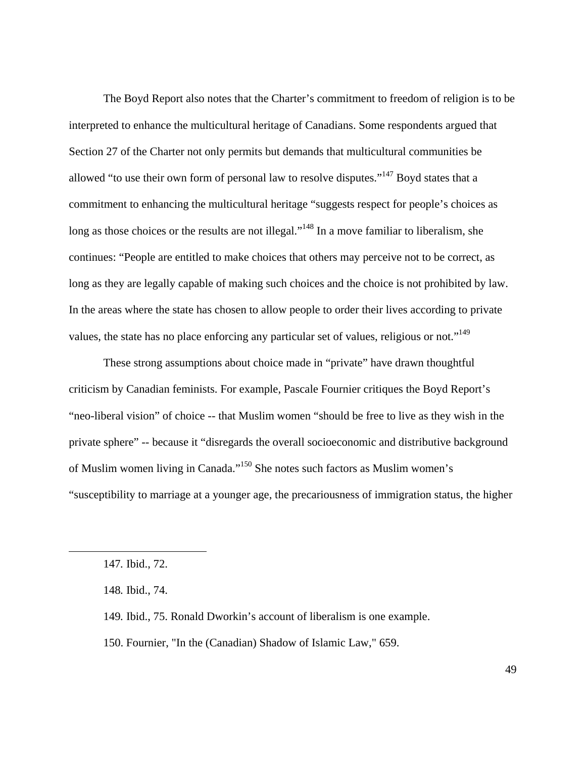The Boyd Report also notes that the Charter's commitment to freedom of religion is to be interpreted to enhance the multicultural heritage of Canadians. Some respondents argued that Section 27 of the Charter not only permits but demands that multicultural communities be allowed "to use their own form of personal law to resolve disputes."147 Boyd states that a commitment to enhancing the multicultural heritage "suggests respect for people's choices as long as those choices or the results are not illegal."<sup>148</sup> In a move familiar to liberalism, she continues: "People are entitled to make choices that others may perceive not to be correct, as long as they are legally capable of making such choices and the choice is not prohibited by law. In the areas where the state has chosen to allow people to order their lives according to private values, the state has no place enforcing any particular set of values, religious or not."<sup>149</sup>

These strong assumptions about choice made in "private" have drawn thoughtful criticism by Canadian feminists. For example, Pascale Fournier critiques the Boyd Report's "neo-liberal vision" of choice -- that Muslim women "should be free to live as they wish in the private sphere" -- because it "disregards the overall socioeconomic and distributive background of Muslim women living in Canada."150 She notes such factors as Muslim women's "susceptibility to marriage at a younger age, the precariousness of immigration status, the higher

 $\overline{a}$ 

150. Fournier, "In the (Canadian) Shadow of Islamic Law," 659.

<sup>147</sup>*.* Ibid., 72.

<sup>148</sup>*.* Ibid., 74.

<sup>149</sup>*.* Ibid., 75. Ronald Dworkin's account of liberalism is one example.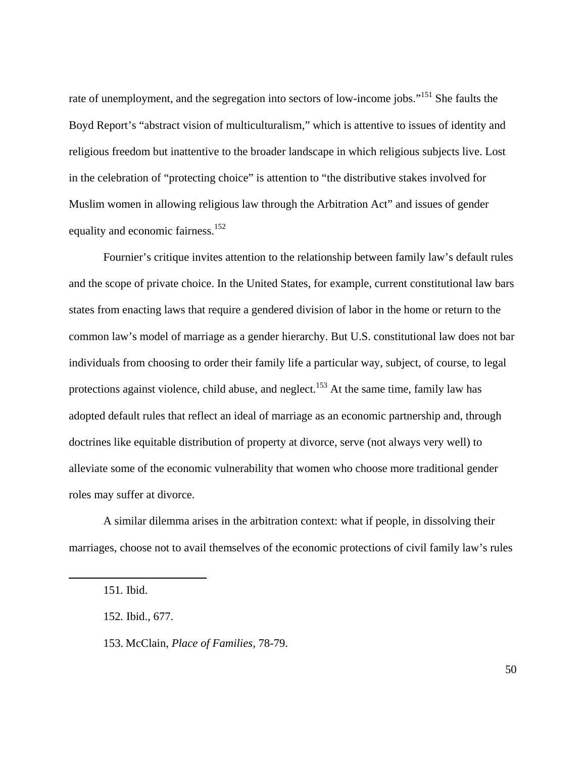rate of unemployment, and the segregation into sectors of low-income jobs."<sup>151</sup> She faults the Boyd Report's "abstract vision of multiculturalism," which is attentive to issues of identity and religious freedom but inattentive to the broader landscape in which religious subjects live. Lost in the celebration of "protecting choice" is attention to "the distributive stakes involved for Muslim women in allowing religious law through the Arbitration Act" and issues of gender equality and economic fairness.<sup>152</sup>

Fournier's critique invites attention to the relationship between family law's default rules and the scope of private choice. In the United States, for example, current constitutional law bars states from enacting laws that require a gendered division of labor in the home or return to the common law's model of marriage as a gender hierarchy. But U.S. constitutional law does not bar individuals from choosing to order their family life a particular way, subject, of course, to legal protections against violence, child abuse, and neglect.<sup>153</sup> At the same time, family law has adopted default rules that reflect an ideal of marriage as an economic partnership and, through doctrines like equitable distribution of property at divorce, serve (not always very well) to alleviate some of the economic vulnerability that women who choose more traditional gender roles may suffer at divorce.

A similar dilemma arises in the arbitration context: what if people, in dissolving their marriages, choose not to avail themselves of the economic protections of civil family law's rules

<sup>151</sup>*.* Ibid.

<sup>152</sup>*.* Ibid., 677.

<sup>153.</sup> McClain, *Place of Families,* 78-79.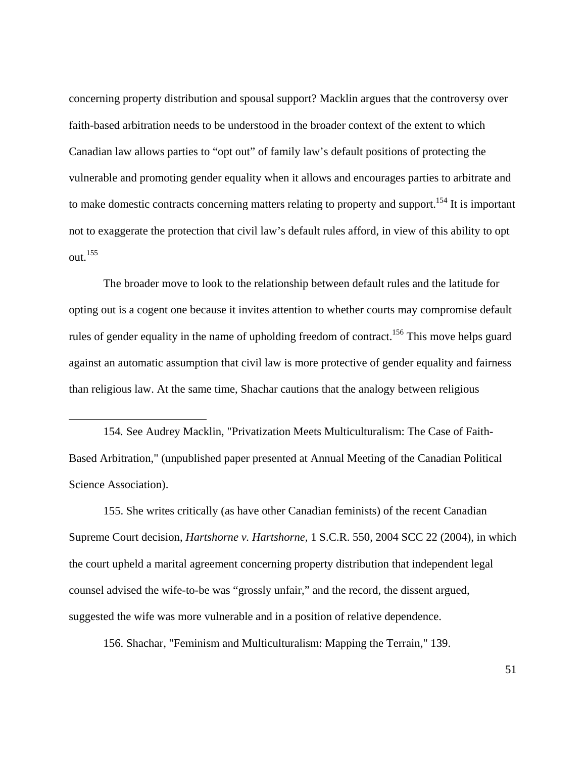concerning property distribution and spousal support? Macklin argues that the controversy over faith-based arbitration needs to be understood in the broader context of the extent to which Canadian law allows parties to "opt out" of family law's default positions of protecting the vulnerable and promoting gender equality when it allows and encourages parties to arbitrate and to make domestic contracts concerning matters relating to property and support.<sup>154</sup> It is important not to exaggerate the protection that civil law's default rules afford, in view of this ability to opt out.155

The broader move to look to the relationship between default rules and the latitude for opting out is a cogent one because it invites attention to whether courts may compromise default rules of gender equality in the name of upholding freedom of contract.<sup>156</sup> This move helps guard against an automatic assumption that civil law is more protective of gender equality and fairness than religious law. At the same time, Shachar cautions that the analogy between religious

154*.* See Audrey Macklin, "Privatization Meets Multiculturalism: The Case of Faith-Based Arbitration," (unpublished paper presented at Annual Meeting of the Canadian Political Science Association).

 $\overline{a}$ 

155. She writes critically (as have other Canadian feminists) of the recent Canadian Supreme Court decision, *Hartshorne v. Hartshorne,* 1 S.C.R. 550, 2004 SCC 22 (2004), in which the court upheld a marital agreement concerning property distribution that independent legal counsel advised the wife-to-be was "grossly unfair," and the record, the dissent argued, suggested the wife was more vulnerable and in a position of relative dependence.

156. Shachar, "Feminism and Multiculturalism: Mapping the Terrain," 139.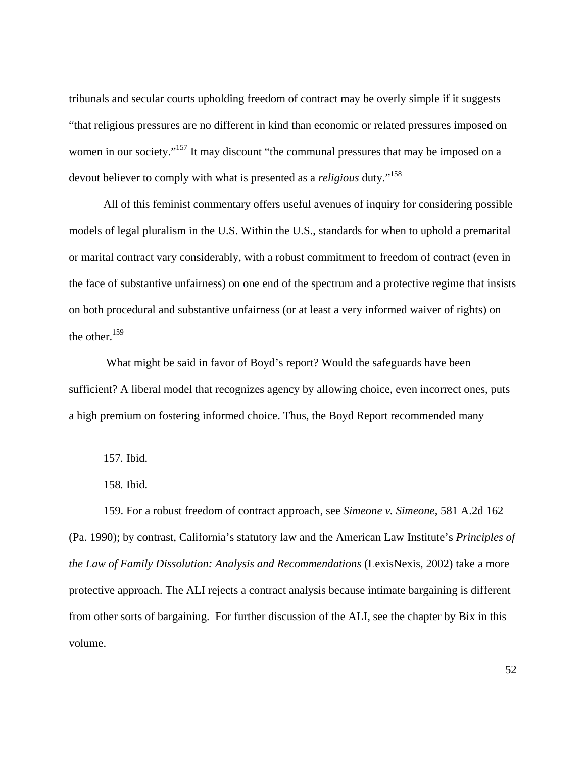tribunals and secular courts upholding freedom of contract may be overly simple if it suggests "that religious pressures are no different in kind than economic or related pressures imposed on women in our society."<sup>157</sup> It may discount "the communal pressures that may be imposed on a devout believer to comply with what is presented as a *religious* duty."158

All of this feminist commentary offers useful avenues of inquiry for considering possible models of legal pluralism in the U.S. Within the U.S., standards for when to uphold a premarital or marital contract vary considerably, with a robust commitment to freedom of contract (even in the face of substantive unfairness) on one end of the spectrum and a protective regime that insists on both procedural and substantive unfairness (or at least a very informed waiver of rights) on the other.<sup>159</sup>

 What might be said in favor of Boyd's report? Would the safeguards have been sufficient? A liberal model that recognizes agency by allowing choice, even incorrect ones, puts a high premium on fostering informed choice. Thus, the Boyd Report recommended many

1

159. For a robust freedom of contract approach, see *Simeone v. Simeone*, 581 A.2d 162 (Pa. 1990); by contrast, California's statutory law and the American Law Institute's *Principles of the Law of Family Dissolution: Analysis and Recommendations* (LexisNexis, 2002) take a more protective approach. The ALI rejects a contract analysis because intimate bargaining is different from other sorts of bargaining. For further discussion of the ALI, see the chapter by Bix in this volume.

<sup>157</sup>*.* Ibid.

<sup>158</sup>*.* Ibid.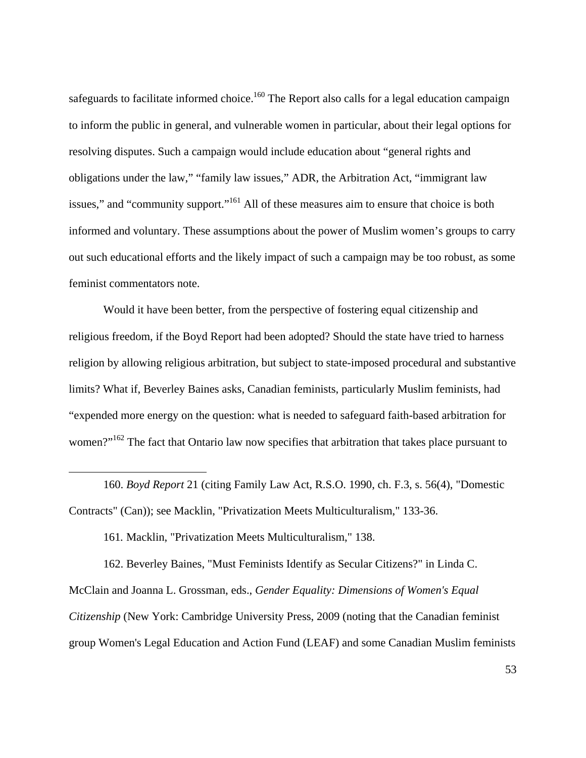safeguards to facilitate informed choice.<sup>160</sup> The Report also calls for a legal education campaign to inform the public in general, and vulnerable women in particular, about their legal options for resolving disputes. Such a campaign would include education about "general rights and obligations under the law," "family law issues," ADR, the Arbitration Act, "immigrant law issues," and "community support."<sup>161</sup> All of these measures aim to ensure that choice is both informed and voluntary. These assumptions about the power of Muslim women's groups to carry out such educational efforts and the likely impact of such a campaign may be too robust, as some feminist commentators note.

Would it have been better, from the perspective of fostering equal citizenship and religious freedom, if the Boyd Report had been adopted? Should the state have tried to harness religion by allowing religious arbitration, but subject to state-imposed procedural and substantive limits? What if, Beverley Baines asks, Canadian feminists, particularly Muslim feminists, had "expended more energy on the question: what is needed to safeguard faith-based arbitration for women?"<sup>162</sup> The fact that Ontario law now specifies that arbitration that takes place pursuant to

160. *Boyd Report* 21 (citing Family Law Act, R.S.O. 1990, ch. F.3, s. 56(4), "Domestic Contracts" (Can)); see Macklin, "Privatization Meets Multiculturalism," 133-36.

161*.* Macklin, "Privatization Meets Multiculturalism," 138.

 $\overline{a}$ 

162. Beverley Baines, "Must Feminists Identify as Secular Citizens?" in Linda C. McClain and Joanna L. Grossman, eds., *Gender Equality: Dimensions of Women's Equal Citizenship* (New York: Cambridge University Press, 2009 (noting that the Canadian feminist group Women's Legal Education and Action Fund (LEAF) and some Canadian Muslim feminists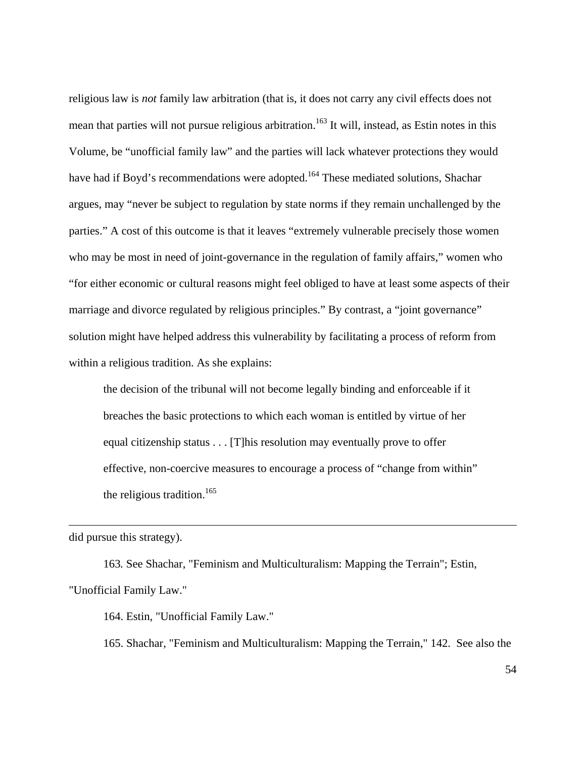religious law is *not* family law arbitration (that is, it does not carry any civil effects does not mean that parties will not pursue religious arbitration.<sup>163</sup> It will, instead, as Estin notes in this Volume, be "unofficial family law" and the parties will lack whatever protections they would have had if Boyd's recommendations were adopted.<sup>164</sup> These mediated solutions, Shachar argues, may "never be subject to regulation by state norms if they remain unchallenged by the parties." A cost of this outcome is that it leaves "extremely vulnerable precisely those women who may be most in need of joint-governance in the regulation of family affairs," women who "for either economic or cultural reasons might feel obliged to have at least some aspects of their marriage and divorce regulated by religious principles." By contrast, a "joint governance" solution might have helped address this vulnerability by facilitating a process of reform from within a religious tradition. As she explains:

the decision of the tribunal will not become legally binding and enforceable if it breaches the basic protections to which each woman is entitled by virtue of her equal citizenship status . . . [T]his resolution may eventually prove to offer effective, non-coercive measures to encourage a process of "change from within" the religious tradition.<sup>165</sup>

did pursue this strategy).

 $\overline{a}$ 

163*.* See Shachar, "Feminism and Multiculturalism: Mapping the Terrain"; Estin, "Unofficial Family Law."

164. Estin, "Unofficial Family Law."

165. Shachar, "Feminism and Multiculturalism: Mapping the Terrain," 142. See also the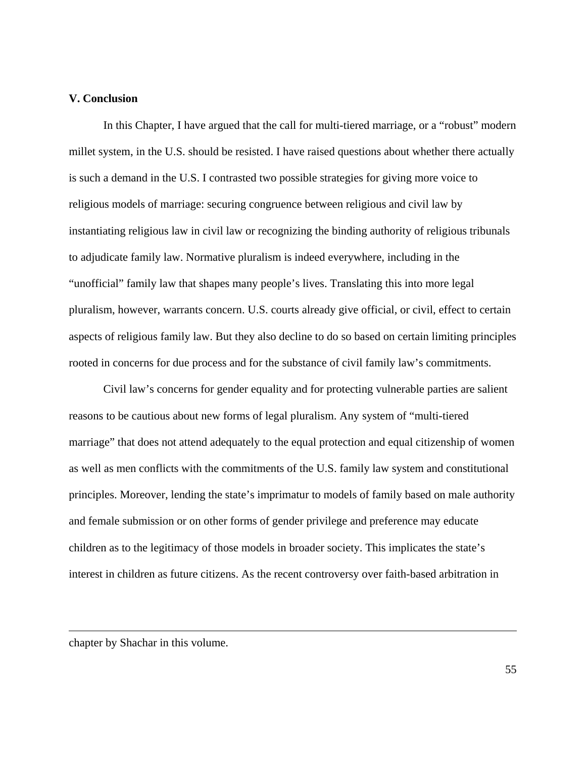#### **V. Conclusion**

In this Chapter, I have argued that the call for multi-tiered marriage, or a "robust" modern millet system, in the U.S. should be resisted. I have raised questions about whether there actually is such a demand in the U.S. I contrasted two possible strategies for giving more voice to religious models of marriage: securing congruence between religious and civil law by instantiating religious law in civil law or recognizing the binding authority of religious tribunals to adjudicate family law. Normative pluralism is indeed everywhere, including in the "unofficial" family law that shapes many people's lives. Translating this into more legal pluralism, however, warrants concern. U.S. courts already give official, or civil, effect to certain aspects of religious family law. But they also decline to do so based on certain limiting principles rooted in concerns for due process and for the substance of civil family law's commitments.

Civil law's concerns for gender equality and for protecting vulnerable parties are salient reasons to be cautious about new forms of legal pluralism. Any system of "multi-tiered marriage" that does not attend adequately to the equal protection and equal citizenship of women as well as men conflicts with the commitments of the U.S. family law system and constitutional principles. Moreover, lending the state's imprimatur to models of family based on male authority and female submission or on other forms of gender privilege and preference may educate children as to the legitimacy of those models in broader society. This implicates the state's interest in children as future citizens. As the recent controversy over faith-based arbitration in

chapter by Shachar in this volume.